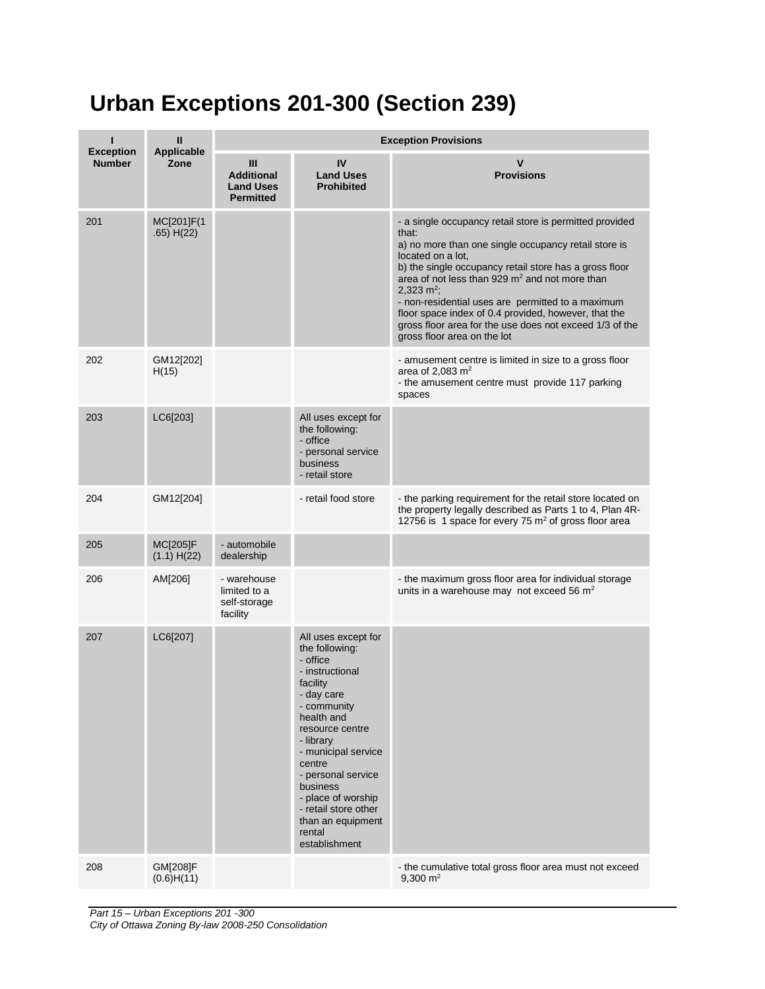## **Urban Exceptions 201-300 (Section 239)**

|                                   | Ш                             | <b>Exception Provisions</b>                                    |                                                                                                                                                                                                                                                                                                                              |                                                                                                                                                                                                                                                                                                                                                                                                                                                                                               |  |
|-----------------------------------|-------------------------------|----------------------------------------------------------------|------------------------------------------------------------------------------------------------------------------------------------------------------------------------------------------------------------------------------------------------------------------------------------------------------------------------------|-----------------------------------------------------------------------------------------------------------------------------------------------------------------------------------------------------------------------------------------------------------------------------------------------------------------------------------------------------------------------------------------------------------------------------------------------------------------------------------------------|--|
| <b>Exception</b><br><b>Number</b> | <b>Applicable</b><br>Zone     | Ш<br><b>Additional</b><br><b>Land Uses</b><br><b>Permitted</b> | IV<br><b>Land Uses</b><br><b>Prohibited</b>                                                                                                                                                                                                                                                                                  | <b>Provisions</b>                                                                                                                                                                                                                                                                                                                                                                                                                                                                             |  |
| 201                               | MC[201]F(1<br>.65) H(22)      |                                                                |                                                                                                                                                                                                                                                                                                                              | - a single occupancy retail store is permitted provided<br>that:<br>a) no more than one single occupancy retail store is<br>located on a lot,<br>b) the single occupancy retail store has a gross floor<br>area of not less than 929 m <sup>2</sup> and not more than<br>2,323 $m^2$ ;<br>- non-residential uses are permitted to a maximum<br>floor space index of 0.4 provided, however, that the<br>gross floor area for the use does not exceed 1/3 of the<br>gross floor area on the lot |  |
| 202                               | GM12[202]<br>H(15)            |                                                                |                                                                                                                                                                                                                                                                                                                              | - amusement centre is limited in size to a gross floor<br>area of 2,083 $m2$<br>- the amusement centre must provide 117 parking<br>spaces                                                                                                                                                                                                                                                                                                                                                     |  |
| 203                               | LC6[203]                      |                                                                | All uses except for<br>the following:<br>- office<br>- personal service<br>business<br>- retail store                                                                                                                                                                                                                        |                                                                                                                                                                                                                                                                                                                                                                                                                                                                                               |  |
| 204                               | GM12[204]                     |                                                                | - retail food store                                                                                                                                                                                                                                                                                                          | - the parking requirement for the retail store located on<br>the property legally described as Parts 1 to 4, Plan 4R-<br>12756 is 1 space for every 75 $m2$ of gross floor area                                                                                                                                                                                                                                                                                                               |  |
| 205                               | MC[205]F<br>(1.1) H(22)       | - automobile<br>dealership                                     |                                                                                                                                                                                                                                                                                                                              |                                                                                                                                                                                                                                                                                                                                                                                                                                                                                               |  |
| 206                               | AM[206]                       | - warehouse<br>limited to a<br>self-storage<br>facility        |                                                                                                                                                                                                                                                                                                                              | - the maximum gross floor area for individual storage<br>units in a warehouse may not exceed 56 $m2$                                                                                                                                                                                                                                                                                                                                                                                          |  |
| 207                               | LC6[207]                      |                                                                | All uses except for<br>the following:<br>- office<br>- instructional<br>facility<br>- day care<br>- community<br>health and<br>resource centre<br>- library<br>- municipal service<br>centre<br>- personal service<br>business<br>- place of worship<br>- retail store other<br>than an equipment<br>rental<br>establishment |                                                                                                                                                                                                                                                                                                                                                                                                                                                                                               |  |
| 208                               | <b>GM[208]F</b><br>(0.6)H(11) |                                                                |                                                                                                                                                                                                                                                                                                                              | - the cumulative total gross floor area must not exceed<br>$9,300 \text{ m}^2$                                                                                                                                                                                                                                                                                                                                                                                                                |  |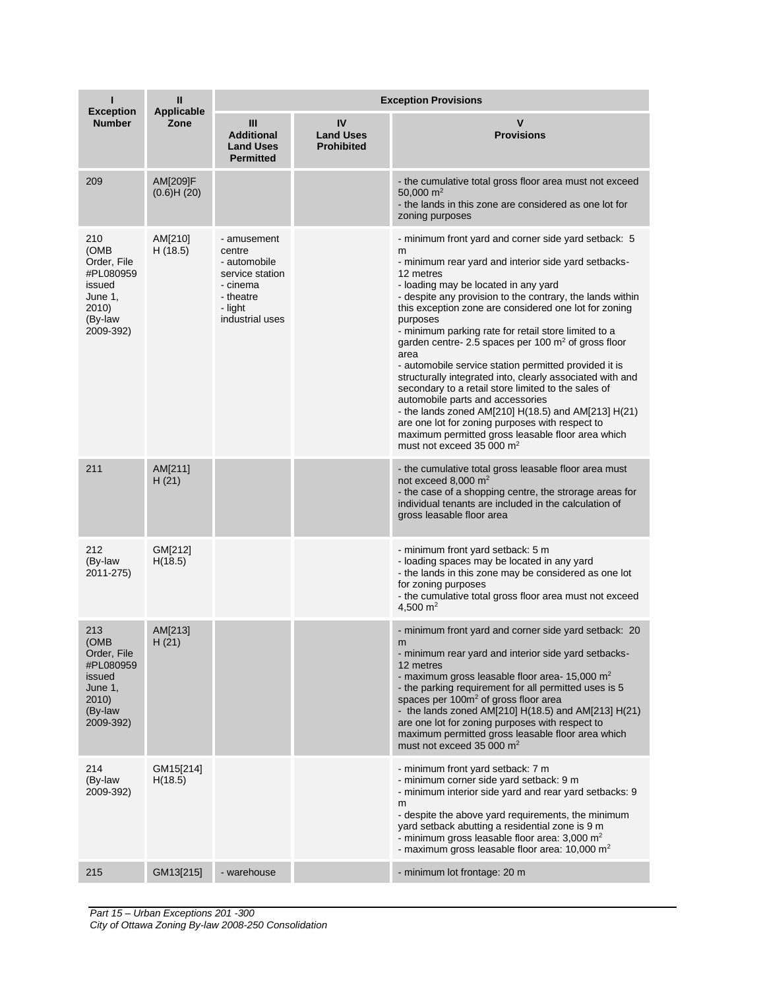|                                                                                                 | $\mathbf{II}$<br><b>Applicable</b> | <b>Exception Provisions</b>                                                                                     |                                             |                                                                                                                                                                                                                                                                                                                                                                                                                                                                                                                                                                                                                                                                                                                                                                                                                                                      |  |  |
|-------------------------------------------------------------------------------------------------|------------------------------------|-----------------------------------------------------------------------------------------------------------------|---------------------------------------------|------------------------------------------------------------------------------------------------------------------------------------------------------------------------------------------------------------------------------------------------------------------------------------------------------------------------------------------------------------------------------------------------------------------------------------------------------------------------------------------------------------------------------------------------------------------------------------------------------------------------------------------------------------------------------------------------------------------------------------------------------------------------------------------------------------------------------------------------------|--|--|
| <b>Exception</b><br><b>Number</b>                                                               | Zone                               | Ш<br><b>Additional</b><br><b>Land Uses</b><br><b>Permitted</b>                                                  | IV<br><b>Land Uses</b><br><b>Prohibited</b> | v<br><b>Provisions</b>                                                                                                                                                                                                                                                                                                                                                                                                                                                                                                                                                                                                                                                                                                                                                                                                                               |  |  |
| 209                                                                                             | AM[209]F<br>(0.6)H(20)             |                                                                                                                 |                                             | - the cumulative total gross floor area must not exceed<br>50,000 $m2$<br>- the lands in this zone are considered as one lot for<br>zoning purposes                                                                                                                                                                                                                                                                                                                                                                                                                                                                                                                                                                                                                                                                                                  |  |  |
| 210<br>(OMB<br>Order, File<br>#PL080959<br>issued<br>June 1,<br>2010)<br>(By-law<br>2009-392)   | AM[210]<br>H(18.5)                 | - amusement<br>centre<br>- automobile<br>service station<br>- cinema<br>- theatre<br>- light<br>industrial uses |                                             | - minimum front yard and corner side yard setback: 5<br>m<br>- minimum rear yard and interior side yard setbacks-<br>12 metres<br>- loading may be located in any yard<br>- despite any provision to the contrary, the lands within<br>this exception zone are considered one lot for zoning<br>purposes<br>- minimum parking rate for retail store limited to a<br>garden centre- 2.5 spaces per 100 $m2$ of gross floor<br>area<br>- automobile service station permitted provided it is<br>structurally integrated into, clearly associated with and<br>secondary to a retail store limited to the sales of<br>automobile parts and accessories<br>- the lands zoned AM[210] $H(18.5)$ and AM[213] $H(21)$<br>are one lot for zoning purposes with respect to<br>maximum permitted gross leasable floor area which<br>must not exceed 35 000 $m2$ |  |  |
| 211                                                                                             | AM[211]<br>H(21)                   |                                                                                                                 |                                             | - the cumulative total gross leasable floor area must<br>not exceed 8,000 m <sup>2</sup><br>- the case of a shopping centre, the strorage areas for<br>individual tenants are included in the calculation of<br>gross leasable floor area                                                                                                                                                                                                                                                                                                                                                                                                                                                                                                                                                                                                            |  |  |
| 212<br>(By-law<br>2011-275)                                                                     | GM[212]<br>H(18.5)                 |                                                                                                                 |                                             | - minimum front yard setback: 5 m<br>- loading spaces may be located in any yard<br>- the lands in this zone may be considered as one lot<br>for zoning purposes<br>- the cumulative total gross floor area must not exceed<br>4,500 $m2$                                                                                                                                                                                                                                                                                                                                                                                                                                                                                                                                                                                                            |  |  |
| 213<br>(OMB<br>Order, File<br>#PL080959<br>issued<br>June $1,$<br>2010)<br>(By-law<br>2009-392) | AM[213]<br>H(21)                   |                                                                                                                 |                                             | - minimum front yard and corner side yard setback: 20<br>m<br>- minimum rear yard and interior side yard setbacks-<br>12 metres<br>- maximum gross leasable floor area- $15,000 \text{ m}^2$<br>- the parking requirement for all permitted uses is 5<br>spaces per 100m <sup>2</sup> of gross floor area<br>- the lands zoned AM[210] $H(18.5)$ and AM[213] $H(21)$<br>are one lot for zoning purposes with respect to<br>maximum permitted gross leasable floor area which<br>must not exceed 35 000 m <sup>2</sup>                                                                                                                                                                                                                                                                                                                                |  |  |
| 214<br>(By-law<br>2009-392)                                                                     | GM15[214]<br>H(18.5)               |                                                                                                                 |                                             | - minimum front yard setback: 7 m<br>- minimum corner side yard setback: 9 m<br>- minimum interior side yard and rear yard setbacks: 9<br>m<br>- despite the above yard requirements, the minimum<br>yard setback abutting a residential zone is 9 m<br>- minimum gross leasable floor area: 3,000 m <sup>2</sup><br>- maximum gross leasable floor area: $10,000 \text{ m}^2$                                                                                                                                                                                                                                                                                                                                                                                                                                                                       |  |  |
| 215                                                                                             | GM13[215]                          | - warehouse                                                                                                     |                                             | - minimum lot frontage: 20 m                                                                                                                                                                                                                                                                                                                                                                                                                                                                                                                                                                                                                                                                                                                                                                                                                         |  |  |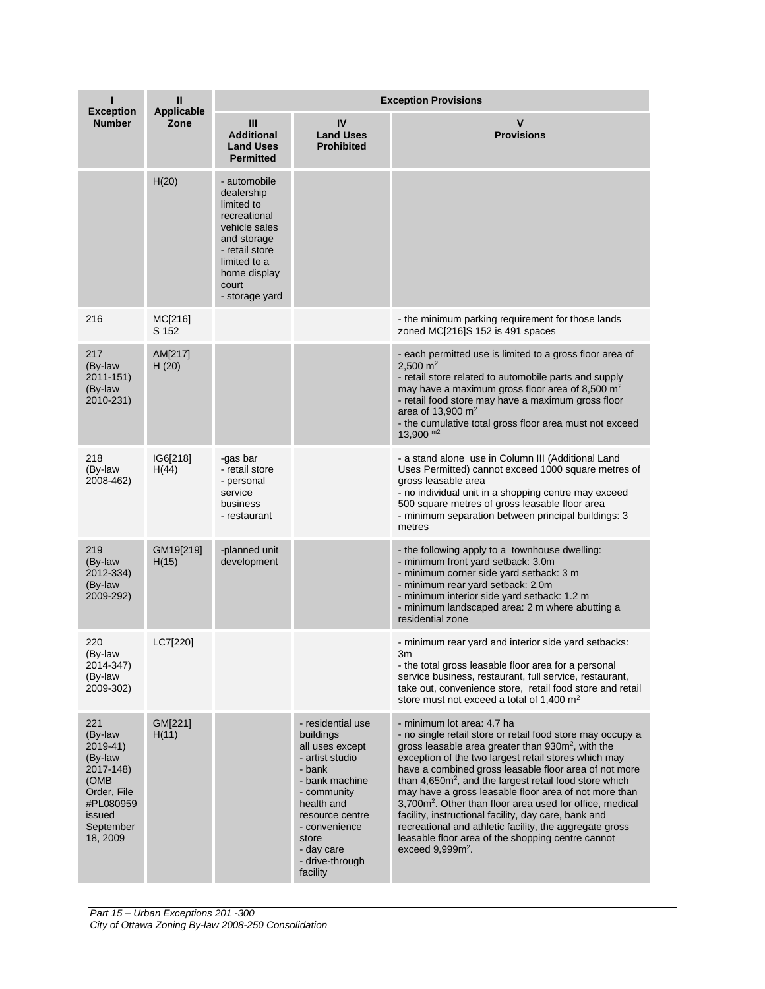|                                                                                                                           | Ш<br><b>Applicable</b> | <b>Exception Provisions</b>                                                                                                                                           |                                                                                                                                                                                                                         |                                                                                                                                                                                                                                                                                                                                                                                                                                                                                                                                                                                                                                                                        |  |  |
|---------------------------------------------------------------------------------------------------------------------------|------------------------|-----------------------------------------------------------------------------------------------------------------------------------------------------------------------|-------------------------------------------------------------------------------------------------------------------------------------------------------------------------------------------------------------------------|------------------------------------------------------------------------------------------------------------------------------------------------------------------------------------------------------------------------------------------------------------------------------------------------------------------------------------------------------------------------------------------------------------------------------------------------------------------------------------------------------------------------------------------------------------------------------------------------------------------------------------------------------------------------|--|--|
| <b>Exception</b><br><b>Number</b>                                                                                         | Zone                   | $\mathbf{m}$<br><b>Additional</b><br><b>Land Uses</b><br><b>Permitted</b>                                                                                             | IV<br><b>Land Uses</b><br><b>Prohibited</b>                                                                                                                                                                             | V<br><b>Provisions</b>                                                                                                                                                                                                                                                                                                                                                                                                                                                                                                                                                                                                                                                 |  |  |
|                                                                                                                           | H(20)                  | - automobile<br>dealership<br>limited to<br>recreational<br>vehicle sales<br>and storage<br>- retail store<br>limited to a<br>home display<br>court<br>- storage yard |                                                                                                                                                                                                                         |                                                                                                                                                                                                                                                                                                                                                                                                                                                                                                                                                                                                                                                                        |  |  |
| 216                                                                                                                       | MC[216]<br>S 152       |                                                                                                                                                                       |                                                                                                                                                                                                                         | - the minimum parking requirement for those lands<br>zoned MC[216]S 152 is 491 spaces                                                                                                                                                                                                                                                                                                                                                                                                                                                                                                                                                                                  |  |  |
| 217<br>(By-law<br>2011-151)<br>(By-law<br>2010-231)                                                                       | AM[217]<br>H(20)       |                                                                                                                                                                       |                                                                                                                                                                                                                         | - each permitted use is limited to a gross floor area of<br>2,500 $m2$<br>- retail store related to automobile parts and supply<br>may have a maximum gross floor area of 8,500 $m2$<br>- retail food store may have a maximum gross floor<br>area of 13,900 $m2$<br>- the cumulative total gross floor area must not exceed<br>$13,900$ m <sup>2</sup>                                                                                                                                                                                                                                                                                                                |  |  |
| 218<br>(By-law<br>2008-462)                                                                                               | IG6[218]<br>H(44)      | -gas bar<br>- retail store<br>- personal<br>service<br>business<br>- restaurant                                                                                       |                                                                                                                                                                                                                         | - a stand alone use in Column III (Additional Land<br>Uses Permitted) cannot exceed 1000 square metres of<br>gross leasable area<br>- no individual unit in a shopping centre may exceed<br>500 square metres of gross leasable floor area<br>- minimum separation between principal buildings: 3<br>metres                                                                                                                                                                                                                                                                                                                                                            |  |  |
| 219<br>(By-law<br>2012-334)<br>(By-law<br>2009-292)                                                                       | GM19[219]<br>H(15)     | -planned unit<br>development                                                                                                                                          |                                                                                                                                                                                                                         | - the following apply to a townhouse dwelling:<br>- minimum front yard setback: 3.0m<br>- minimum corner side yard setback: 3 m<br>- minimum rear yard setback: 2.0m<br>- minimum interior side yard setback: 1.2 m<br>- minimum landscaped area: 2 m where abutting a<br>residential zone                                                                                                                                                                                                                                                                                                                                                                             |  |  |
| 220<br>(By-law<br>2014-347)<br>(By-law<br>2009-302)                                                                       | LC7[220]               |                                                                                                                                                                       |                                                                                                                                                                                                                         | - minimum rear yard and interior side yard setbacks:<br>3m<br>- the total gross leasable floor area for a personal<br>service business, restaurant, full service, restaurant,<br>take out, convenience store, retail food store and retail<br>store must not exceed a total of 1,400 $m2$                                                                                                                                                                                                                                                                                                                                                                              |  |  |
| 221<br>(By-law<br>2019-41)<br>(By-law<br>2017-148)<br>(OMB<br>Order, File<br>#PL080959<br>issued<br>September<br>18, 2009 | GM[221]<br>H(11)       |                                                                                                                                                                       | - residential use<br>buildings<br>all uses except<br>- artist studio<br>- bank<br>- bank machine<br>- community<br>health and<br>resource centre<br>- convenience<br>store<br>- day care<br>- drive-through<br>facility | - minimum lot area: 4.7 ha<br>- no single retail store or retail food store may occupy a<br>gross leasable area greater than 930m <sup>2</sup> , with the<br>exception of the two largest retail stores which may<br>have a combined gross leasable floor area of not more<br>than $4.650m^2$ , and the largest retail food store which<br>may have a gross leasable floor area of not more than<br>3,700m <sup>2</sup> . Other than floor area used for office, medical<br>facility, instructional facility, day care, bank and<br>recreational and athletic facility, the aggregate gross<br>leasable floor area of the shopping centre cannot<br>exceed $9,999m2$ . |  |  |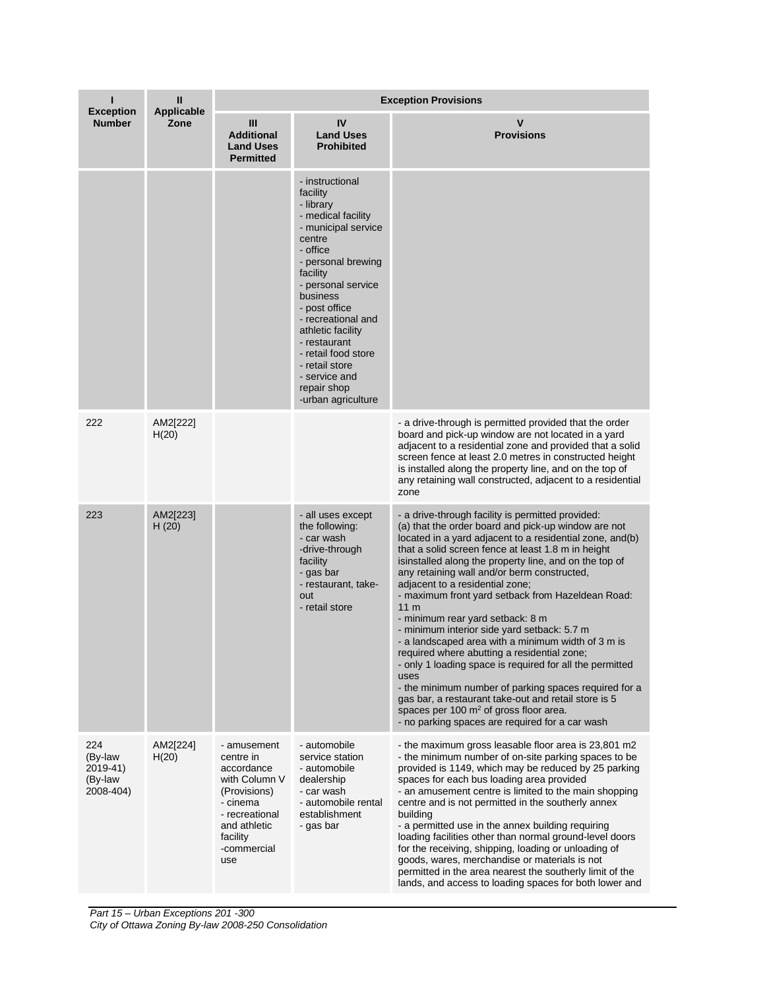|                                                    | Ш                         | <b>Exception Provisions</b>                                                                                                                             |                                                                                                                                                                                                                                                                                                                                                            |                                                                                                                                                                                                                                                                                                                                                                                                                                                                                                                                                                                                                                                                                                                                                                                                                                                                                                                            |  |
|----------------------------------------------------|---------------------------|---------------------------------------------------------------------------------------------------------------------------------------------------------|------------------------------------------------------------------------------------------------------------------------------------------------------------------------------------------------------------------------------------------------------------------------------------------------------------------------------------------------------------|----------------------------------------------------------------------------------------------------------------------------------------------------------------------------------------------------------------------------------------------------------------------------------------------------------------------------------------------------------------------------------------------------------------------------------------------------------------------------------------------------------------------------------------------------------------------------------------------------------------------------------------------------------------------------------------------------------------------------------------------------------------------------------------------------------------------------------------------------------------------------------------------------------------------------|--|
| <b>Exception</b><br><b>Number</b>                  | <b>Applicable</b><br>Zone | Ш<br><b>Additional</b><br><b>Land Uses</b><br><b>Permitted</b>                                                                                          | IV<br><b>Land Uses</b><br><b>Prohibited</b>                                                                                                                                                                                                                                                                                                                | $\mathbf v$<br><b>Provisions</b>                                                                                                                                                                                                                                                                                                                                                                                                                                                                                                                                                                                                                                                                                                                                                                                                                                                                                           |  |
|                                                    |                           |                                                                                                                                                         | - instructional<br>facility<br>- library<br>- medical facility<br>- municipal service<br>centre<br>- office<br>- personal brewing<br>facility<br>- personal service<br>business<br>- post office<br>- recreational and<br>athletic facility<br>- restaurant<br>- retail food store<br>- retail store<br>- service and<br>repair shop<br>-urban agriculture |                                                                                                                                                                                                                                                                                                                                                                                                                                                                                                                                                                                                                                                                                                                                                                                                                                                                                                                            |  |
| 222                                                | AM2[222]<br>H(20)         |                                                                                                                                                         |                                                                                                                                                                                                                                                                                                                                                            | - a drive-through is permitted provided that the order<br>board and pick-up window are not located in a yard<br>adjacent to a residential zone and provided that a solid<br>screen fence at least 2.0 metres in constructed height<br>is installed along the property line, and on the top of<br>any retaining wall constructed, adjacent to a residential<br>zone                                                                                                                                                                                                                                                                                                                                                                                                                                                                                                                                                         |  |
| 223                                                | AM2[223]<br>H(20)         |                                                                                                                                                         | - all uses except<br>the following:<br>- car wash<br>-drive-through<br>facility<br>- gas bar<br>- restaurant, take-<br>out<br>- retail store                                                                                                                                                                                                               | - a drive-through facility is permitted provided:<br>(a) that the order board and pick-up window are not<br>located in a yard adjacent to a residential zone, and(b)<br>that a solid screen fence at least 1.8 m in height<br>isinstalled along the property line, and on the top of<br>any retaining wall and/or berm constructed,<br>adjacent to a residential zone;<br>- maximum front yard setback from Hazeldean Road:<br>11 <sub>m</sub><br>- minimum rear yard setback: 8 m<br>- minimum interior side yard setback: 5.7 m<br>- a landscaped area with a minimum width of 3 m is<br>required where abutting a residential zone;<br>- only 1 loading space is required for all the permitted<br>uses<br>- the minimum number of parking spaces required for a<br>gas bar, a restaurant take-out and retail store is 5<br>spaces per 100 $m2$ of gross floor area.<br>- no parking spaces are required for a car wash |  |
| 224<br>(By-law<br>2019-41)<br>(By-law<br>2008-404) | AM2[224]<br>H(20)         | - amusement<br>centre in<br>accordance<br>with Column V<br>(Provisions)<br>- cinema<br>- recreational<br>and athletic<br>facility<br>-commercial<br>use | - automobile<br>service station<br>- automobile<br>dealership<br>- car wash<br>- automobile rental<br>establishment<br>- gas bar                                                                                                                                                                                                                           | - the maximum gross leasable floor area is 23,801 m2<br>- the minimum number of on-site parking spaces to be<br>provided is 1149, which may be reduced by 25 parking<br>spaces for each bus loading area provided<br>- an amusement centre is limited to the main shopping<br>centre and is not permitted in the southerly annex<br>building<br>- a permitted use in the annex building requiring<br>loading facilities other than normal ground-level doors<br>for the receiving, shipping, loading or unloading of<br>goods, wares, merchandise or materials is not<br>permitted in the area nearest the southerly limit of the<br>lands, and access to loading spaces for both lower and                                                                                                                                                                                                                                |  |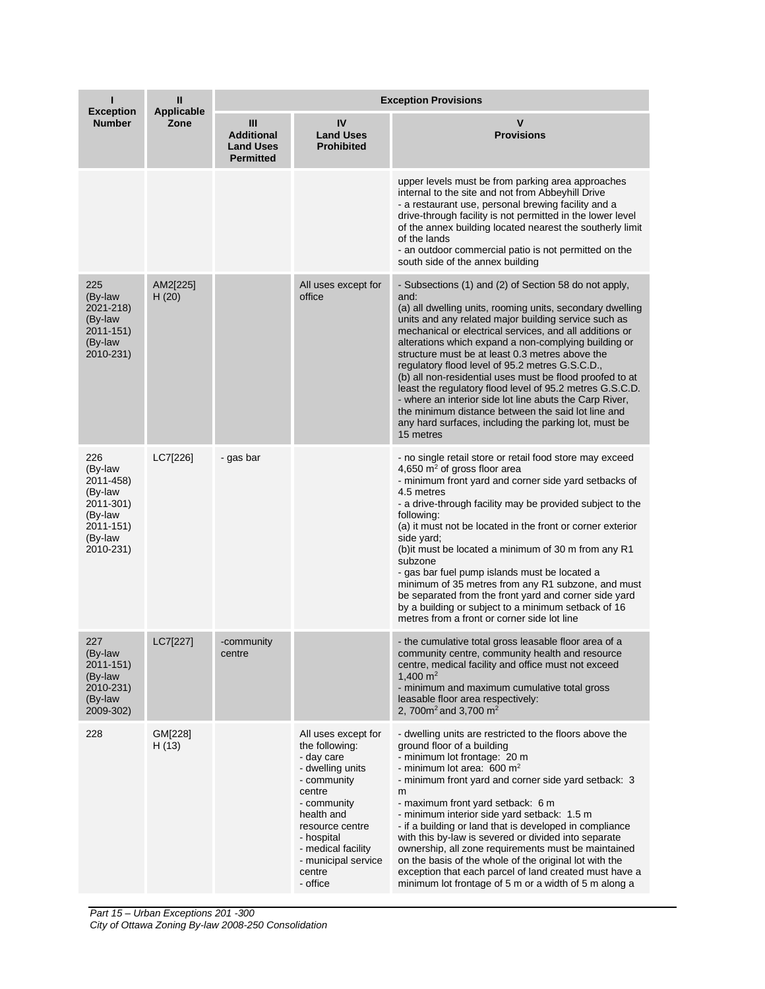| <b>Exception</b>                                                                                    | Ш<br><b>Applicable</b> | <b>Exception Provisions</b>                                    |                                                                                                                                                                                                                                   |                                                                                                                                                                                                                                                                                                                                                                                                                                                                                                                                                                                                                                                                                                                            |  |  |
|-----------------------------------------------------------------------------------------------------|------------------------|----------------------------------------------------------------|-----------------------------------------------------------------------------------------------------------------------------------------------------------------------------------------------------------------------------------|----------------------------------------------------------------------------------------------------------------------------------------------------------------------------------------------------------------------------------------------------------------------------------------------------------------------------------------------------------------------------------------------------------------------------------------------------------------------------------------------------------------------------------------------------------------------------------------------------------------------------------------------------------------------------------------------------------------------------|--|--|
| <b>Number</b>                                                                                       | Zone                   | Ш<br><b>Additional</b><br><b>Land Uses</b><br><b>Permitted</b> | IV<br><b>Land Uses</b><br><b>Prohibited</b>                                                                                                                                                                                       | $\mathbf v$<br><b>Provisions</b>                                                                                                                                                                                                                                                                                                                                                                                                                                                                                                                                                                                                                                                                                           |  |  |
|                                                                                                     |                        |                                                                |                                                                                                                                                                                                                                   | upper levels must be from parking area approaches<br>internal to the site and not from Abbeyhill Drive<br>- a restaurant use, personal brewing facility and a<br>drive-through facility is not permitted in the lower level<br>of the annex building located nearest the southerly limit<br>of the lands<br>- an outdoor commercial patio is not permitted on the<br>south side of the annex building                                                                                                                                                                                                                                                                                                                      |  |  |
| 225<br>(By-law<br>2021-218)<br>(By-law<br>2011-151)<br>(By-law<br>2010-231)                         | AM2[225]<br>H(20)      |                                                                | All uses except for<br>office                                                                                                                                                                                                     | - Subsections (1) and (2) of Section 58 do not apply,<br>and:<br>(a) all dwelling units, rooming units, secondary dwelling<br>units and any related major building service such as<br>mechanical or electrical services, and all additions or<br>alterations which expand a non-complying building or<br>structure must be at least 0.3 metres above the<br>regulatory flood level of 95.2 metres G.S.C.D.,<br>(b) all non-residential uses must be flood proofed to at<br>least the regulatory flood level of 95.2 metres G.S.C.D.<br>- where an interior side lot line abuts the Carp River,<br>the minimum distance between the said lot line and<br>any hard surfaces, including the parking lot, must be<br>15 metres |  |  |
| 226<br>(By-law<br>2011-458)<br>(By-law<br>2011-301)<br>(By-law<br>2011-151)<br>(By-law<br>2010-231) | LC7[226]               | - gas bar                                                      |                                                                                                                                                                                                                                   | - no single retail store or retail food store may exceed<br>4,650 $m2$ of gross floor area<br>- minimum front yard and corner side yard setbacks of<br>4.5 metres<br>- a drive-through facility may be provided subject to the<br>following:<br>(a) it must not be located in the front or corner exterior<br>side yard;<br>(b) it must be located a minimum of 30 m from any R1<br>subzone<br>- gas bar fuel pump islands must be located a<br>minimum of 35 metres from any R1 subzone, and must<br>be separated from the front yard and corner side yard<br>by a building or subject to a minimum setback of 16<br>metres from a front or corner side lot line                                                          |  |  |
| 227<br>(By-law<br>2011-151)<br>(By-law<br>2010-231)<br>(By-law<br>2009-302)                         | LC7[227]               | -community<br>centre                                           |                                                                                                                                                                                                                                   | - the cumulative total gross leasable floor area of a<br>community centre, community health and resource<br>centre, medical facility and office must not exceed<br>1,400 $m2$<br>- minimum and maximum cumulative total gross<br>leasable floor area respectively:<br>2, 700 $m2$ and 3,700 $m2$                                                                                                                                                                                                                                                                                                                                                                                                                           |  |  |
| 228                                                                                                 | GM[228]<br>H(13)       |                                                                | All uses except for<br>the following:<br>- day care<br>- dwelling units<br>- community<br>centre<br>- community<br>health and<br>resource centre<br>- hospital<br>- medical facility<br>- municipal service<br>centre<br>- office | - dwelling units are restricted to the floors above the<br>ground floor of a building<br>- minimum lot frontage: 20 m<br>- minimum lot area: 600 m <sup>2</sup><br>- minimum front yard and corner side yard setback: 3<br>m<br>- maximum front yard setback: 6 m<br>- minimum interior side yard setback: 1.5 m<br>- if a building or land that is developed in compliance<br>with this by-law is severed or divided into separate<br>ownership, all zone requirements must be maintained<br>on the basis of the whole of the original lot with the<br>exception that each parcel of land created must have a<br>minimum lot frontage of 5 m or a width of 5 m along a                                                    |  |  |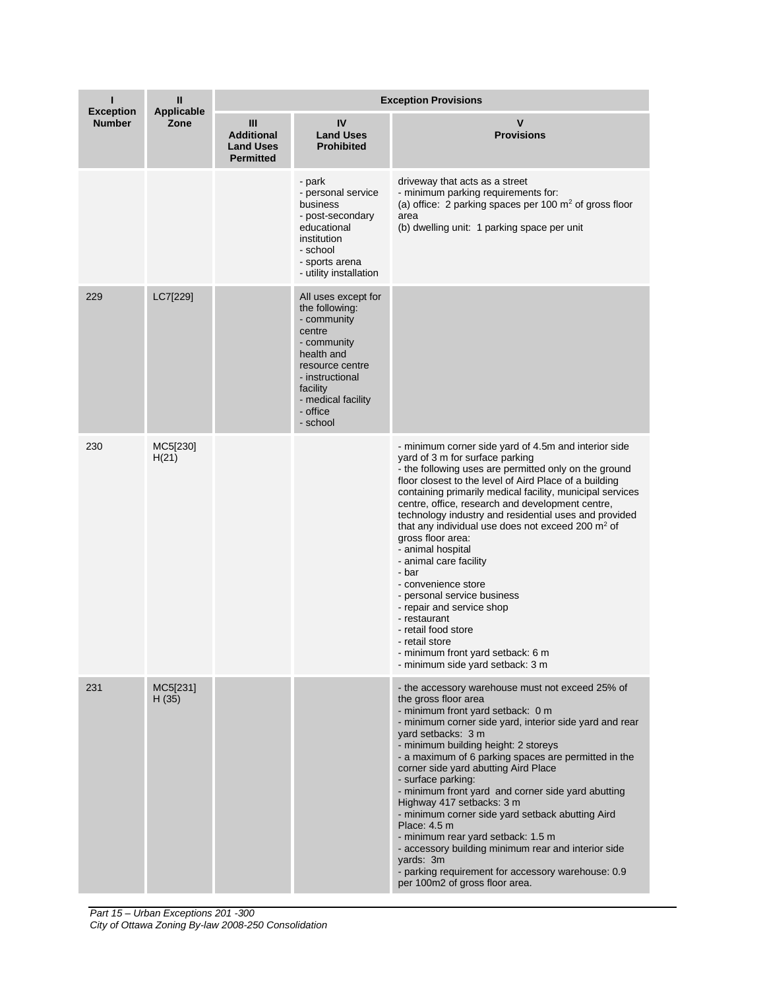|                                   | Ш<br><b>Applicable</b> | <b>Exception Provisions</b>                                    |                                                                                                                                                                                             |                                                                                                                                                                                                                                                                                                                                                                                                                                                                                                                                                                                                                                                                                                                                               |  |  |
|-----------------------------------|------------------------|----------------------------------------------------------------|---------------------------------------------------------------------------------------------------------------------------------------------------------------------------------------------|-----------------------------------------------------------------------------------------------------------------------------------------------------------------------------------------------------------------------------------------------------------------------------------------------------------------------------------------------------------------------------------------------------------------------------------------------------------------------------------------------------------------------------------------------------------------------------------------------------------------------------------------------------------------------------------------------------------------------------------------------|--|--|
| <b>Exception</b><br><b>Number</b> | Zone                   | Ш<br><b>Additional</b><br><b>Land Uses</b><br><b>Permitted</b> | IV<br><b>Land Uses</b><br><b>Prohibited</b>                                                                                                                                                 | $\mathbf v$<br><b>Provisions</b>                                                                                                                                                                                                                                                                                                                                                                                                                                                                                                                                                                                                                                                                                                              |  |  |
|                                   |                        |                                                                | - park<br>- personal service<br>business<br>- post-secondary<br>educational<br>institution<br>- school<br>- sports arena<br>- utility installation                                          | driveway that acts as a street<br>- minimum parking requirements for:<br>(a) office: 2 parking spaces per 100 $m2$ of gross floor<br>area<br>(b) dwelling unit: 1 parking space per unit                                                                                                                                                                                                                                                                                                                                                                                                                                                                                                                                                      |  |  |
| 229                               | LC7[229]               |                                                                | All uses except for<br>the following:<br>- community<br>centre<br>- community<br>health and<br>resource centre<br>- instructional<br>facility<br>- medical facility<br>- office<br>- school |                                                                                                                                                                                                                                                                                                                                                                                                                                                                                                                                                                                                                                                                                                                                               |  |  |
| 230                               | MC5[230]<br>H(21)      |                                                                |                                                                                                                                                                                             | - minimum corner side yard of 4.5m and interior side<br>yard of 3 m for surface parking<br>- the following uses are permitted only on the ground<br>floor closest to the level of Aird Place of a building<br>containing primarily medical facility, municipal services<br>centre, office, research and development centre,<br>technology industry and residential uses and provided<br>that any individual use does not exceed 200 $m2$ of<br>gross floor area:<br>- animal hospital<br>- animal care facility<br>- bar<br>- convenience store<br>- personal service business<br>- repair and service shop<br>- restaurant<br>- retail food store<br>- retail store<br>- minimum front yard setback: 6 m<br>- minimum side yard setback: 3 m |  |  |
| 231                               | MC5[231]<br>H(35)      |                                                                |                                                                                                                                                                                             | - the accessory warehouse must not exceed 25% of<br>the gross floor area<br>- minimum front yard setback: 0 m<br>- minimum corner side yard, interior side yard and rear<br>yard setbacks: 3 m<br>- minimum building height: 2 storeys<br>- a maximum of 6 parking spaces are permitted in the<br>corner side yard abutting Aird Place<br>- surface parking:<br>- minimum front yard and corner side yard abutting<br>Highway 417 setbacks: 3 m<br>- minimum corner side yard setback abutting Aird<br>Place: 4.5 m<br>- minimum rear yard setback: 1.5 m<br>- accessory building minimum rear and interior side<br>yards: 3m<br>- parking requirement for accessory warehouse: 0.9<br>per 100m2 of gross floor area.                         |  |  |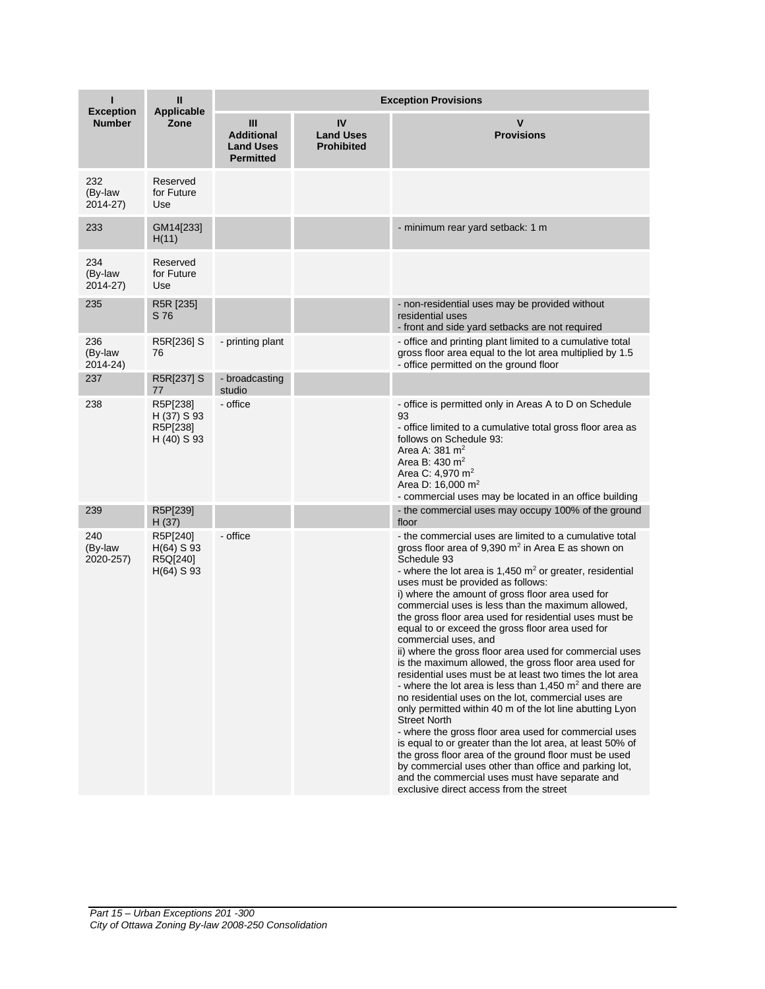| п                                 | Ш                                                    | <b>Exception Provisions</b>                                      |                                             |                                                                                                                                                                                                                                                                                                                                                                                                                                                                                                                                                                                                                                                                                                                                                                                                                                                                                                                                                                                                                                                                                                                                                                                                                                     |  |
|-----------------------------------|------------------------------------------------------|------------------------------------------------------------------|---------------------------------------------|-------------------------------------------------------------------------------------------------------------------------------------------------------------------------------------------------------------------------------------------------------------------------------------------------------------------------------------------------------------------------------------------------------------------------------------------------------------------------------------------------------------------------------------------------------------------------------------------------------------------------------------------------------------------------------------------------------------------------------------------------------------------------------------------------------------------------------------------------------------------------------------------------------------------------------------------------------------------------------------------------------------------------------------------------------------------------------------------------------------------------------------------------------------------------------------------------------------------------------------|--|
| <b>Exception</b><br><b>Number</b> | <b>Applicable</b><br>Zone                            | III<br><b>Additional</b><br><b>Land Uses</b><br><b>Permitted</b> | IV<br><b>Land Uses</b><br><b>Prohibited</b> | $\mathbf v$<br><b>Provisions</b>                                                                                                                                                                                                                                                                                                                                                                                                                                                                                                                                                                                                                                                                                                                                                                                                                                                                                                                                                                                                                                                                                                                                                                                                    |  |
| 232<br>(By-law<br>2014-27)        | Reserved<br>for Future<br>Use                        |                                                                  |                                             |                                                                                                                                                                                                                                                                                                                                                                                                                                                                                                                                                                                                                                                                                                                                                                                                                                                                                                                                                                                                                                                                                                                                                                                                                                     |  |
| 233                               | GM14[233]<br>H(11)                                   |                                                                  |                                             | - minimum rear yard setback: 1 m                                                                                                                                                                                                                                                                                                                                                                                                                                                                                                                                                                                                                                                                                                                                                                                                                                                                                                                                                                                                                                                                                                                                                                                                    |  |
| 234<br>(By-law<br>2014-27)        | Reserved<br>for Future<br>Use                        |                                                                  |                                             |                                                                                                                                                                                                                                                                                                                                                                                                                                                                                                                                                                                                                                                                                                                                                                                                                                                                                                                                                                                                                                                                                                                                                                                                                                     |  |
| 235                               | R5R [235]<br>S 76                                    |                                                                  |                                             | - non-residential uses may be provided without<br>residential uses<br>- front and side yard setbacks are not required                                                                                                                                                                                                                                                                                                                                                                                                                                                                                                                                                                                                                                                                                                                                                                                                                                                                                                                                                                                                                                                                                                               |  |
| 236<br>(By-law<br>2014-24)        | R5R[236] S<br>76                                     | - printing plant                                                 |                                             | - office and printing plant limited to a cumulative total<br>gross floor area equal to the lot area multiplied by 1.5<br>- office permitted on the ground floor                                                                                                                                                                                                                                                                                                                                                                                                                                                                                                                                                                                                                                                                                                                                                                                                                                                                                                                                                                                                                                                                     |  |
| 237                               | R5R[237] S<br>77                                     | - broadcasting<br>studio                                         |                                             |                                                                                                                                                                                                                                                                                                                                                                                                                                                                                                                                                                                                                                                                                                                                                                                                                                                                                                                                                                                                                                                                                                                                                                                                                                     |  |
| 238                               | R5P[238]<br>H (37) S 93<br>R5P[238]<br>H (40) S 93   | - office                                                         |                                             | - office is permitted only in Areas A to D on Schedule<br>93<br>- office limited to a cumulative total gross floor area as<br>follows on Schedule 93:<br>Area A: $381 \text{ m}^2$<br>Area B: 430 m <sup>2</sup><br>Area C: 4,970 m <sup>2</sup><br>Area D: $16,000 \text{ m}^2$<br>- commercial uses may be located in an office building                                                                                                                                                                                                                                                                                                                                                                                                                                                                                                                                                                                                                                                                                                                                                                                                                                                                                          |  |
| 239                               | R5P[239]<br>H(37)                                    |                                                                  |                                             | - the commercial uses may occupy 100% of the ground<br>floor                                                                                                                                                                                                                                                                                                                                                                                                                                                                                                                                                                                                                                                                                                                                                                                                                                                                                                                                                                                                                                                                                                                                                                        |  |
| 240<br>(By-law<br>2020-257)       | R5P[240]<br>$H(64)$ S 93<br>R5Q[240]<br>$H(64)$ S 93 | - office                                                         |                                             | - the commercial uses are limited to a cumulative total<br>gross floor area of 9,390 m <sup>2</sup> in Area E as shown on<br>Schedule 93<br>- where the lot area is $1,450$ m <sup>2</sup> or greater, residential<br>uses must be provided as follows:<br>i) where the amount of gross floor area used for<br>commercial uses is less than the maximum allowed,<br>the gross floor area used for residential uses must be<br>equal to or exceed the gross floor area used for<br>commercial uses, and<br>ii) where the gross floor area used for commercial uses<br>is the maximum allowed, the gross floor area used for<br>residential uses must be at least two times the lot area<br>- where the lot area is less than 1.450 $m2$ and there are<br>no residential uses on the lot, commercial uses are<br>only permitted within 40 m of the lot line abutting Lyon<br><b>Street North</b><br>- where the gross floor area used for commercial uses<br>is equal to or greater than the lot area, at least 50% of<br>the gross floor area of the ground floor must be used<br>by commercial uses other than office and parking lot,<br>and the commercial uses must have separate and<br>exclusive direct access from the street |  |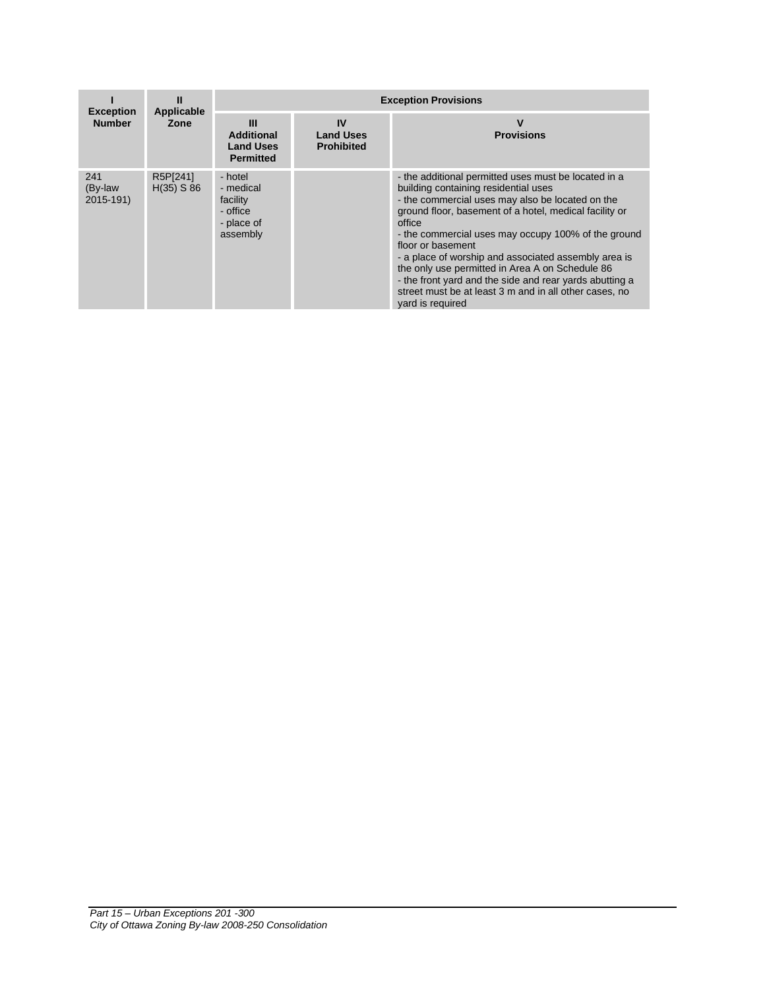|                                   | Ш<br>Applicable          | <b>Exception Provisions</b>                                            |                                             |                                                                                                                                                                                                                                                                                                                                                                                                                                                                                                                                                      |  |
|-----------------------------------|--------------------------|------------------------------------------------------------------------|---------------------------------------------|------------------------------------------------------------------------------------------------------------------------------------------------------------------------------------------------------------------------------------------------------------------------------------------------------------------------------------------------------------------------------------------------------------------------------------------------------------------------------------------------------------------------------------------------------|--|
| <b>Exception</b><br><b>Number</b> | Zone                     | Ш<br><b>Additional</b><br><b>Land Uses</b><br><b>Permitted</b>         | IV<br><b>Land Uses</b><br><b>Prohibited</b> | V<br><b>Provisions</b>                                                                                                                                                                                                                                                                                                                                                                                                                                                                                                                               |  |
| 241<br>(By-law<br>2015-191)       | R5P[241]<br>$H(35)$ S 86 | - hotel<br>- medical<br>facility<br>- office<br>- place of<br>assembly |                                             | - the additional permitted uses must be located in a<br>building containing residential uses<br>- the commercial uses may also be located on the<br>ground floor, basement of a hotel, medical facility or<br>office<br>- the commercial uses may occupy 100% of the ground<br>floor or basement<br>- a place of worship and associated assembly area is<br>the only use permitted in Area A on Schedule 86<br>- the front yard and the side and rear yards abutting a<br>street must be at least 3 m and in all other cases, no<br>yard is required |  |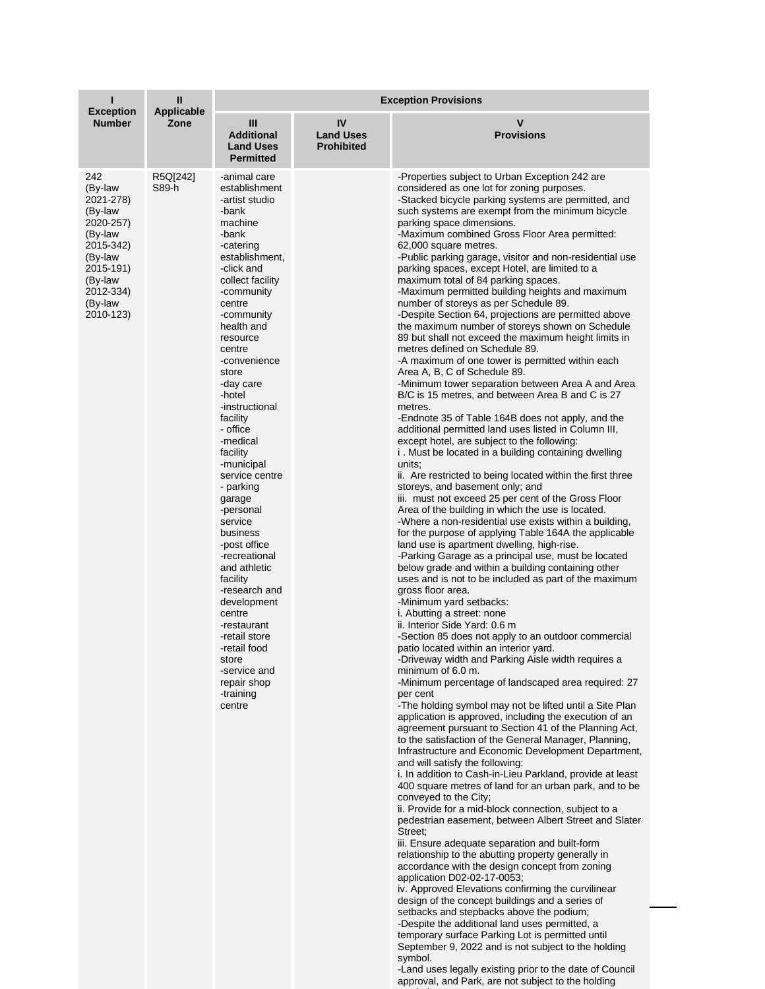| т                                                                                                                                                   | $\mathbf{II}$      | <b>Exception Provisions</b>                                                                                                                                                                                                                                                                                                                                                                                                                                                                                                                                                                                                                                |                                             |                                                                                                                                                                                                                                                                                                                                                                                                                                                                                                                                                                                                                                                                                                                                                                                                                                                                                                                                                                                                                                                                                                                                                                                                                                                                                                                                                                                                                                                                                                                                                                                                                                                                                                                                                                                                                                                                                                                                                                                                                                                                                                                                                                                                                                                                                                                                                                                                                                                                                                                                                                                                                                                                                                                                                                                                                                                                                                                                                                                                                                                                                                                                                                                                                                                                |  |
|-----------------------------------------------------------------------------------------------------------------------------------------------------|--------------------|------------------------------------------------------------------------------------------------------------------------------------------------------------------------------------------------------------------------------------------------------------------------------------------------------------------------------------------------------------------------------------------------------------------------------------------------------------------------------------------------------------------------------------------------------------------------------------------------------------------------------------------------------------|---------------------------------------------|----------------------------------------------------------------------------------------------------------------------------------------------------------------------------------------------------------------------------------------------------------------------------------------------------------------------------------------------------------------------------------------------------------------------------------------------------------------------------------------------------------------------------------------------------------------------------------------------------------------------------------------------------------------------------------------------------------------------------------------------------------------------------------------------------------------------------------------------------------------------------------------------------------------------------------------------------------------------------------------------------------------------------------------------------------------------------------------------------------------------------------------------------------------------------------------------------------------------------------------------------------------------------------------------------------------------------------------------------------------------------------------------------------------------------------------------------------------------------------------------------------------------------------------------------------------------------------------------------------------------------------------------------------------------------------------------------------------------------------------------------------------------------------------------------------------------------------------------------------------------------------------------------------------------------------------------------------------------------------------------------------------------------------------------------------------------------------------------------------------------------------------------------------------------------------------------------------------------------------------------------------------------------------------------------------------------------------------------------------------------------------------------------------------------------------------------------------------------------------------------------------------------------------------------------------------------------------------------------------------------------------------------------------------------------------------------------------------------------------------------------------------------------------------------------------------------------------------------------------------------------------------------------------------------------------------------------------------------------------------------------------------------------------------------------------------------------------------------------------------------------------------------------------------------------------------------------------------------------------------------------------------|--|
| <b>Exception</b><br><b>Number</b>                                                                                                                   | Applicable<br>Zone | Ш<br><b>Additional</b><br><b>Land Uses</b><br><b>Permitted</b>                                                                                                                                                                                                                                                                                                                                                                                                                                                                                                                                                                                             | IV<br><b>Land Uses</b><br><b>Prohibited</b> | $\mathbf v$<br><b>Provisions</b>                                                                                                                                                                                                                                                                                                                                                                                                                                                                                                                                                                                                                                                                                                                                                                                                                                                                                                                                                                                                                                                                                                                                                                                                                                                                                                                                                                                                                                                                                                                                                                                                                                                                                                                                                                                                                                                                                                                                                                                                                                                                                                                                                                                                                                                                                                                                                                                                                                                                                                                                                                                                                                                                                                                                                                                                                                                                                                                                                                                                                                                                                                                                                                                                                               |  |
| 242<br>(By-law<br>2021-278)<br>(By-law<br>2020-257)<br>(By-law<br>2015-342)<br>(By-law<br>2015-191)<br>(By-law<br>2012-334)<br>(By-law<br>2010-123) | R5Q[242]<br>S89-h  | -animal care<br>establishment<br>-artist studio<br>-bank<br>machine<br>-bank<br>-catering<br>establishment,<br>-click and<br>collect facility<br>-community<br>centre<br>-community<br>health and<br>resource<br>centre<br>-convenience<br>store<br>-day care<br>-hotel<br>-instructional<br>facility<br>- office<br>-medical<br>facility<br>-municipal<br>service centre<br>- parking<br>garage<br>-personal<br>service<br>business<br>-post office<br>-recreational<br>and athletic<br>facility<br>-research and<br>development<br>centre<br>-restaurant<br>-retail store<br>-retail food<br>store<br>-service and<br>repair shop<br>-training<br>centre |                                             | -Properties subject to Urban Exception 242 are<br>considered as one lot for zoning purposes.<br>-Stacked bicycle parking systems are permitted, and<br>such systems are exempt from the minimum bicycle<br>parking space dimensions.<br>-Maximum combined Gross Floor Area permitted:<br>62,000 square metres.<br>-Public parking garage, visitor and non-residential use<br>parking spaces, except Hotel, are limited to a<br>maximum total of 84 parking spaces.<br>-Maximum permitted building heights and maximum<br>number of storeys as per Schedule 89.<br>-Despite Section 64, projections are permitted above<br>the maximum number of storeys shown on Schedule<br>89 but shall not exceed the maximum height limits in<br>metres defined on Schedule 89.<br>-A maximum of one tower is permitted within each<br>Area A, B, C of Schedule 89.<br>-Minimum tower separation between Area A and Area<br>B/C is 15 metres, and between Area B and C is 27<br>metres.<br>-Endnote 35 of Table 164B does not apply, and the<br>additional permitted land uses listed in Column III,<br>except hotel, are subject to the following:<br>i. Must be located in a building containing dwelling<br>units:<br>ii. Are restricted to being located within the first three<br>storeys, and basement only; and<br>iii. must not exceed 25 per cent of the Gross Floor<br>Area of the building in which the use is located.<br>-Where a non-residential use exists within a building,<br>for the purpose of applying Table 164A the applicable<br>land use is apartment dwelling, high-rise.<br>-Parking Garage as a principal use, must be located<br>below grade and within a building containing other<br>uses and is not to be included as part of the maximum<br>gross floor area.<br>-Minimum yard setbacks:<br>i. Abutting a street: none<br>ii. Interior Side Yard: 0.6 m<br>-Section 85 does not apply to an outdoor commercial<br>patio located within an interior yard.<br>-Driveway width and Parking Aisle width requires a<br>minimum of 6.0 m.<br>-Minimum percentage of landscaped area required: 27<br>per cent<br>-The holding symbol may not be lifted until a Site Plan<br>application is approved, including the execution of an<br>agreement pursuant to Section 41 of the Planning Act,<br>to the satisfaction of the General Manager, Planning,<br>Infrastructure and Economic Development Department,<br>and will satisfy the following:<br>i. In addition to Cash-in-Lieu Parkland, provide at least<br>400 square metres of land for an urban park, and to be<br>conveyed to the City;<br>ii. Provide for a mid-block connection, subject to a<br>pedestrian easement, between Albert Street and Slater<br>Street:<br>iii. Ensure adequate separation and built-form<br>relationship to the abutting property generally in<br>accordance with the design concept from zoning<br>application D02-02-17-0053;<br>iv. Approved Elevations confirming the curvilinear<br>design of the concept buildings and a series of<br>setbacks and stepbacks above the podium;<br>-Despite the additional land uses permitted, a<br>temporary surface Parking Lot is permitted until<br>September 9, 2022 and is not subject to the holding<br>symbol. |  |

-Land uses legally existing prior to the date of Council approval, and Park, are not subject to the holding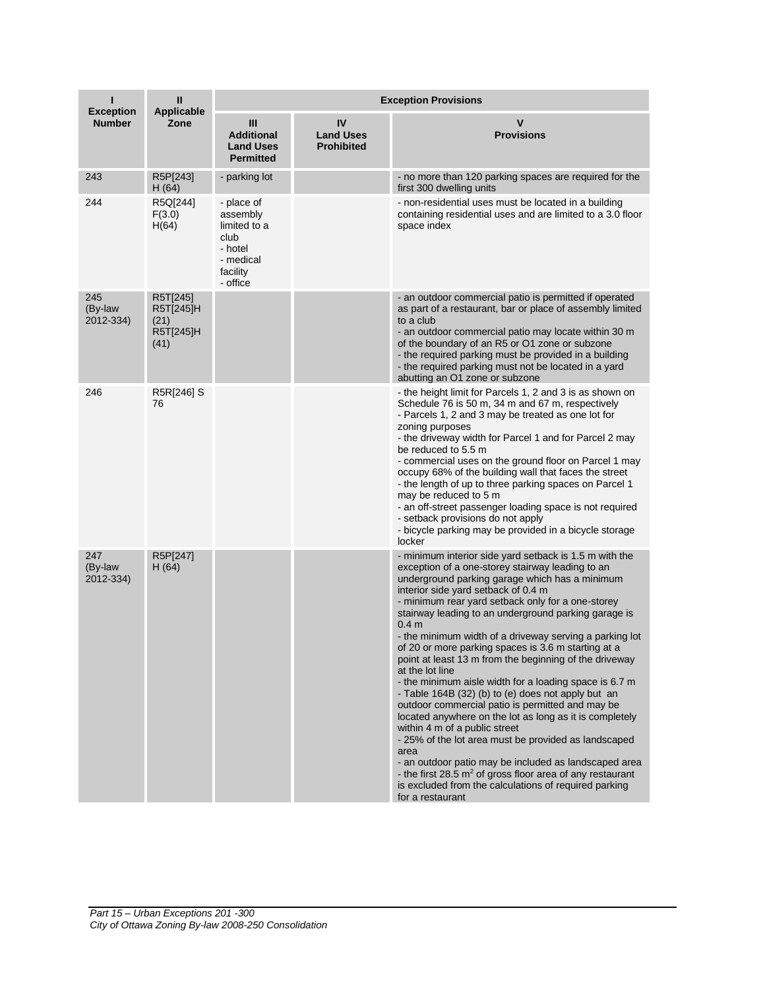| п                                 | $\mathbf{II}$<br><b>Applicable</b>                 | <b>Exception Provisions</b>                                                                    |                                             |                                                                                                                                                                                                                                                                                                                                                                                                                                                                                                                                                                                                                                                                                                                                                                                                                                                                                                                                                                                                                                                                         |  |
|-----------------------------------|----------------------------------------------------|------------------------------------------------------------------------------------------------|---------------------------------------------|-------------------------------------------------------------------------------------------------------------------------------------------------------------------------------------------------------------------------------------------------------------------------------------------------------------------------------------------------------------------------------------------------------------------------------------------------------------------------------------------------------------------------------------------------------------------------------------------------------------------------------------------------------------------------------------------------------------------------------------------------------------------------------------------------------------------------------------------------------------------------------------------------------------------------------------------------------------------------------------------------------------------------------------------------------------------------|--|
| <b>Exception</b><br><b>Number</b> | Zone                                               | Ш<br><b>Additional</b><br><b>Land Uses</b><br><b>Permitted</b>                                 | IV<br><b>Land Uses</b><br><b>Prohibited</b> | $\mathbf v$<br><b>Provisions</b>                                                                                                                                                                                                                                                                                                                                                                                                                                                                                                                                                                                                                                                                                                                                                                                                                                                                                                                                                                                                                                        |  |
| 243                               | R5P[243]<br>H (64)                                 | - parking lot                                                                                  |                                             | - no more than 120 parking spaces are required for the<br>first 300 dwelling units                                                                                                                                                                                                                                                                                                                                                                                                                                                                                                                                                                                                                                                                                                                                                                                                                                                                                                                                                                                      |  |
| 244                               | R5Q[244]<br>F(3.0)<br>H(64)                        | - place of<br>assembly<br>limited to a<br>club<br>- hotel<br>- medical<br>facility<br>- office |                                             | - non-residential uses must be located in a building<br>containing residential uses and are limited to a 3.0 floor<br>space index                                                                                                                                                                                                                                                                                                                                                                                                                                                                                                                                                                                                                                                                                                                                                                                                                                                                                                                                       |  |
| 245<br>(By-law<br>2012-334)       | R5T[245]<br>R5T[245]H<br>(21)<br>R5T[245]H<br>(41) |                                                                                                |                                             | - an outdoor commercial patio is permitted if operated<br>as part of a restaurant, bar or place of assembly limited<br>to a club<br>- an outdoor commercial patio may locate within 30 m<br>of the boundary of an R5 or O1 zone or subzone<br>- the required parking must be provided in a building<br>- the required parking must not be located in a yard<br>abutting an O1 zone or subzone                                                                                                                                                                                                                                                                                                                                                                                                                                                                                                                                                                                                                                                                           |  |
| 246                               | R5R[246] S<br>76                                   |                                                                                                |                                             | - the height limit for Parcels 1, 2 and 3 is as shown on<br>Schedule 76 is 50 m, 34 m and 67 m, respectively<br>- Parcels 1, 2 and 3 may be treated as one lot for<br>zoning purposes<br>- the driveway width for Parcel 1 and for Parcel 2 may<br>be reduced to 5.5 m<br>- commercial uses on the ground floor on Parcel 1 may<br>occupy 68% of the building wall that faces the street<br>- the length of up to three parking spaces on Parcel 1<br>may be reduced to 5 m<br>- an off-street passenger loading space is not required<br>- setback provisions do not apply<br>- bicycle parking may be provided in a bicycle storage<br>locker                                                                                                                                                                                                                                                                                                                                                                                                                         |  |
| 247<br>(By-law<br>2012-334)       | R5P[247]<br>H (64)                                 |                                                                                                |                                             | - minimum interior side yard setback is 1.5 m with the<br>exception of a one-storey stairway leading to an<br>underground parking garage which has a minimum<br>interior side yard setback of 0.4 m<br>- minimum rear yard setback only for a one-storey<br>stairway leading to an underground parking garage is<br>0.4 <sub>m</sub><br>- the minimum width of a driveway serving a parking lot<br>of 20 or more parking spaces is 3.6 m starting at a<br>point at least 13 m from the beginning of the driveway<br>at the lot line<br>the minimum aisle width for a loading space is 6.7 m<br>- Table 164B (32) (b) to (e) does not apply but an<br>outdoor commercial patio is permitted and may be<br>located anywhere on the lot as long as it is completely<br>within 4 m of a public street<br>- 25% of the lot area must be provided as landscaped<br>area<br>- an outdoor patio may be included as landscaped area<br>- the first 28.5 $m^2$ of gross floor area of any restaurant<br>is excluded from the calculations of required parking<br>for a restaurant |  |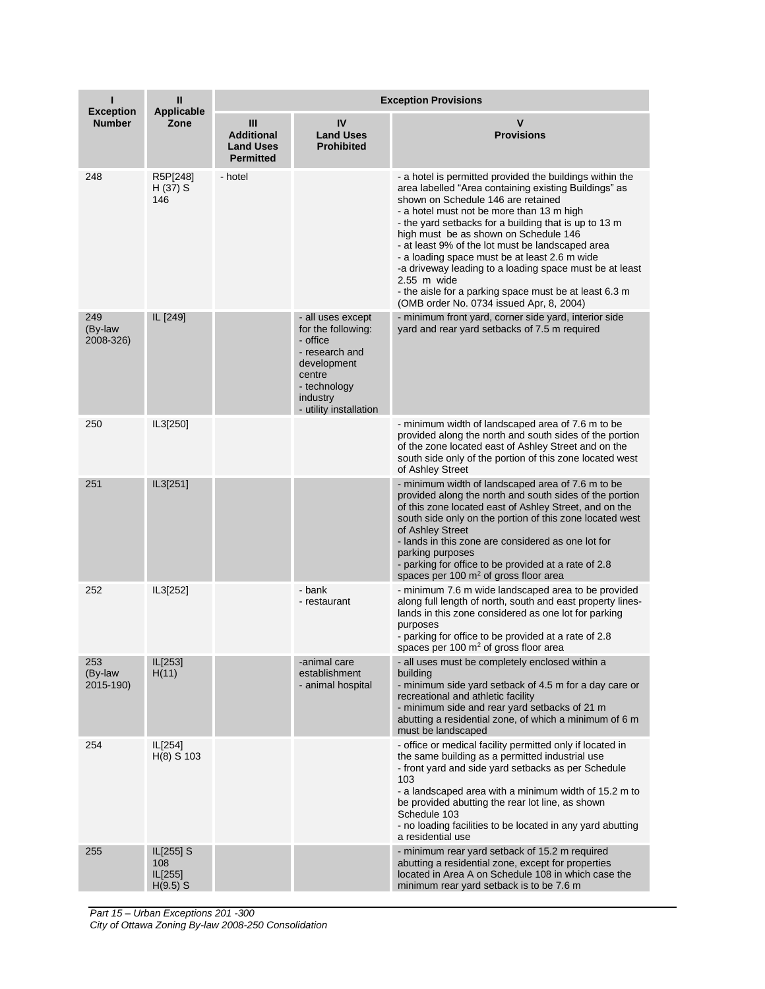| ı                                 | $\mathbf{II}$<br><b>Applicable</b>        | <b>Exception Provisions</b>                                    |                                                                                                                                                      |                                                                                                                                                                                                                                                                                                                                                                                                                                                                                                                                                                                               |  |
|-----------------------------------|-------------------------------------------|----------------------------------------------------------------|------------------------------------------------------------------------------------------------------------------------------------------------------|-----------------------------------------------------------------------------------------------------------------------------------------------------------------------------------------------------------------------------------------------------------------------------------------------------------------------------------------------------------------------------------------------------------------------------------------------------------------------------------------------------------------------------------------------------------------------------------------------|--|
| <b>Exception</b><br><b>Number</b> | Zone                                      | Ш<br><b>Additional</b><br><b>Land Uses</b><br><b>Permitted</b> | IV<br><b>Land Uses</b><br><b>Prohibited</b>                                                                                                          | v<br><b>Provisions</b>                                                                                                                                                                                                                                                                                                                                                                                                                                                                                                                                                                        |  |
| 248                               | R5P[248]<br>$H(37)$ S<br>146              | - hotel                                                        |                                                                                                                                                      | - a hotel is permitted provided the buildings within the<br>area labelled "Area containing existing Buildings" as<br>shown on Schedule 146 are retained<br>- a hotel must not be more than 13 m high<br>- the yard setbacks for a building that is up to 13 m<br>high must be as shown on Schedule 146<br>- at least 9% of the lot must be landscaped area<br>- a loading space must be at least 2.6 m wide<br>-a driveway leading to a loading space must be at least<br>$2.55$ m wide<br>- the aisle for a parking space must be at least 6.3 m<br>(OMB order No. 0734 issued Apr, 8, 2004) |  |
| 249<br>(By-law<br>2008-326)       | IL [249]                                  |                                                                | - all uses except<br>for the following:<br>- office<br>- research and<br>development<br>centre<br>- technology<br>industry<br>- utility installation | - minimum front yard, corner side yard, interior side<br>yard and rear yard setbacks of 7.5 m required                                                                                                                                                                                                                                                                                                                                                                                                                                                                                        |  |
| 250                               | IL3[250]                                  |                                                                |                                                                                                                                                      | - minimum width of landscaped area of 7.6 m to be<br>provided along the north and south sides of the portion<br>of the zone located east of Ashley Street and on the<br>south side only of the portion of this zone located west<br>of Ashley Street                                                                                                                                                                                                                                                                                                                                          |  |
| 251                               | IL3[251]                                  |                                                                |                                                                                                                                                      | - minimum width of landscaped area of 7.6 m to be<br>provided along the north and south sides of the portion<br>of this zone located east of Ashley Street, and on the<br>south side only on the portion of this zone located west<br>of Ashley Street<br>- lands in this zone are considered as one lot for<br>parking purposes<br>- parking for office to be provided at a rate of 2.8<br>spaces per 100 $m2$ of gross floor area                                                                                                                                                           |  |
| 252                               | IL3[252]                                  |                                                                | - bank<br>- restaurant                                                                                                                               | - minimum 7.6 m wide landscaped area to be provided<br>along full length of north, south and east property lines-<br>lands in this zone considered as one lot for parking<br>purposes<br>- parking for office to be provided at a rate of 2.8<br>spaces per 100 $m2$ of gross floor area                                                                                                                                                                                                                                                                                                      |  |
| 253<br>(By-law<br>2015-190)       | IL[253]<br>H(11)                          |                                                                | -animal care<br>establishment<br>- animal hospital                                                                                                   | - all uses must be completely enclosed within a<br>building<br>- minimum side yard setback of 4.5 m for a day care or<br>recreational and athletic facility<br>- minimum side and rear yard setbacks of 21 m<br>abutting a residential zone, of which a minimum of 6 m<br>must be landscaped                                                                                                                                                                                                                                                                                                  |  |
| 254                               | IL[254]<br>$H(8)$ S 103                   |                                                                |                                                                                                                                                      | - office or medical facility permitted only if located in<br>the same building as a permitted industrial use<br>- front yard and side yard setbacks as per Schedule<br>103<br>- a landscaped area with a minimum width of 15.2 m to<br>be provided abutting the rear lot line, as shown<br>Schedule 103<br>- no loading facilities to be located in any yard abutting<br>a residential use                                                                                                                                                                                                    |  |
| 255                               | IL[255] S<br>108<br>IL[255]<br>$H(9.5)$ S |                                                                |                                                                                                                                                      | - minimum rear yard setback of 15.2 m required<br>abutting a residential zone, except for properties<br>located in Area A on Schedule 108 in which case the<br>minimum rear yard setback is to be 7.6 m                                                                                                                                                                                                                                                                                                                                                                                       |  |

*Part 15 – Urban Exceptions 201 -300 City of Ottawa Zoning By-law 2008-250 Consolidation*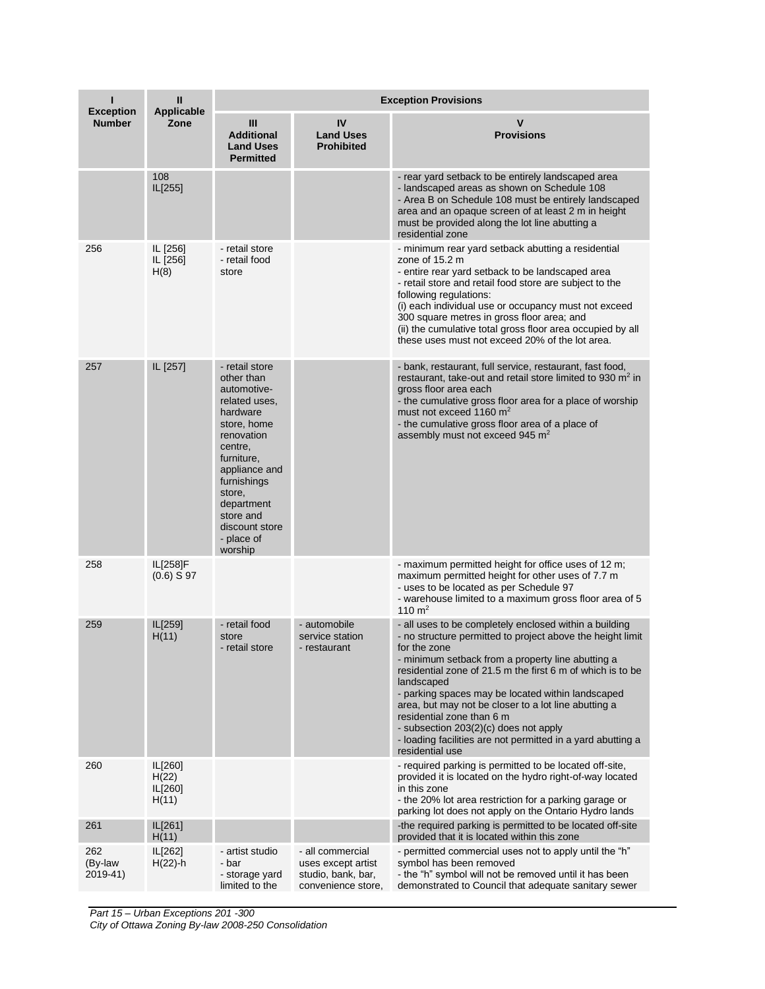| ı<br>Ш<br><b>Exception</b><br><b>Applicable</b> |                                      |                                                                                                                                                                                                                                                |                                                                                    | <b>Exception Provisions</b>                                                                                                                                                                                                                                                                                                                                                                                                                                                                                                                |  |  |
|-------------------------------------------------|--------------------------------------|------------------------------------------------------------------------------------------------------------------------------------------------------------------------------------------------------------------------------------------------|------------------------------------------------------------------------------------|--------------------------------------------------------------------------------------------------------------------------------------------------------------------------------------------------------------------------------------------------------------------------------------------------------------------------------------------------------------------------------------------------------------------------------------------------------------------------------------------------------------------------------------------|--|--|
| <b>Number</b>                                   | Zone                                 | Ш<br><b>Additional</b><br><b>Land Uses</b><br><b>Permitted</b>                                                                                                                                                                                 | IV<br><b>Land Uses</b><br><b>Prohibited</b>                                        | <b>Provisions</b>                                                                                                                                                                                                                                                                                                                                                                                                                                                                                                                          |  |  |
|                                                 | 108<br>IL[255]                       |                                                                                                                                                                                                                                                |                                                                                    | - rear yard setback to be entirely landscaped area<br>- landscaped areas as shown on Schedule 108<br>- Area B on Schedule 108 must be entirely landscaped<br>area and an opaque screen of at least 2 m in height<br>must be provided along the lot line abutting a<br>residential zone                                                                                                                                                                                                                                                     |  |  |
| 256                                             | IL [256]<br>IL [256]<br>H(8)         | - retail store<br>- retail food<br>store                                                                                                                                                                                                       |                                                                                    | - minimum rear yard setback abutting a residential<br>zone of 15.2 m<br>- entire rear yard setback to be landscaped area<br>- retail store and retail food store are subject to the<br>following regulations:<br>(i) each individual use or occupancy must not exceed<br>300 square metres in gross floor area; and<br>(ii) the cumulative total gross floor area occupied by all<br>these uses must not exceed 20% of the lot area.                                                                                                       |  |  |
| 257                                             | IL [257]                             | - retail store<br>other than<br>automotive-<br>related uses,<br>hardware<br>store, home<br>renovation<br>centre,<br>furniture,<br>appliance and<br>furnishings<br>store,<br>department<br>store and<br>discount store<br>- place of<br>worship |                                                                                    | - bank, restaurant, full service, restaurant, fast food,<br>restaurant, take-out and retail store limited to 930 m <sup>2</sup> in<br>gross floor area each<br>- the cumulative gross floor area for a place of worship<br>must not exceed 1160 m <sup>2</sup><br>- the cumulative gross floor area of a place of<br>assembly must not exceed 945 m <sup>2</sup>                                                                                                                                                                           |  |  |
| 258                                             | IL[258]F<br>$(0.6)$ S 97             |                                                                                                                                                                                                                                                |                                                                                    | - maximum permitted height for office uses of 12 m;<br>maximum permitted height for other uses of 7.7 m<br>- uses to be located as per Schedule 97<br>- warehouse limited to a maximum gross floor area of 5<br>110 $m2$                                                                                                                                                                                                                                                                                                                   |  |  |
| 259                                             | IL[259]<br>H(11)                     | - retail food<br>store<br>- retail store                                                                                                                                                                                                       | - automobile<br>service station<br>- restaurant                                    | - all uses to be completely enclosed within a building<br>- no structure permitted to project above the height limit<br>for the zone<br>- minimum setback from a property line abutting a<br>residential zone of 21.5 m the first 6 m of which is to be<br>landscaped<br>- parking spaces may be located within landscaped<br>area, but may not be closer to a lot line abutting a<br>residential zone than 6 m<br>- subsection 203(2)(c) does not apply<br>- loading facilities are not permitted in a yard abutting a<br>residential use |  |  |
| 260                                             | IL[260]<br>H(22)<br>IL[260]<br>H(11) |                                                                                                                                                                                                                                                |                                                                                    | - required parking is permitted to be located off-site,<br>provided it is located on the hydro right-of-way located<br>in this zone<br>- the 20% lot area restriction for a parking garage or<br>parking lot does not apply on the Ontario Hydro lands                                                                                                                                                                                                                                                                                     |  |  |
| 261                                             | IL[261]<br>H(11)                     |                                                                                                                                                                                                                                                |                                                                                    | -the required parking is permitted to be located off-site<br>provided that it is located within this zone                                                                                                                                                                                                                                                                                                                                                                                                                                  |  |  |
| 262<br>(By-law<br>2019-41)                      | IL[262]<br>$H(22)$ -h                | - artist studio<br>- bar<br>- storage yard<br>limited to the                                                                                                                                                                                   | - all commercial<br>uses except artist<br>studio, bank, bar,<br>convenience store, | - permitted commercial uses not to apply until the "h"<br>symbol has been removed<br>- the "h" symbol will not be removed until it has been<br>demonstrated to Council that adequate sanitary sewer                                                                                                                                                                                                                                                                                                                                        |  |  |

*Part 15 – Urban Exceptions 201 -300*

*City of Ottawa Zoning By-law 2008-250 Consolidation*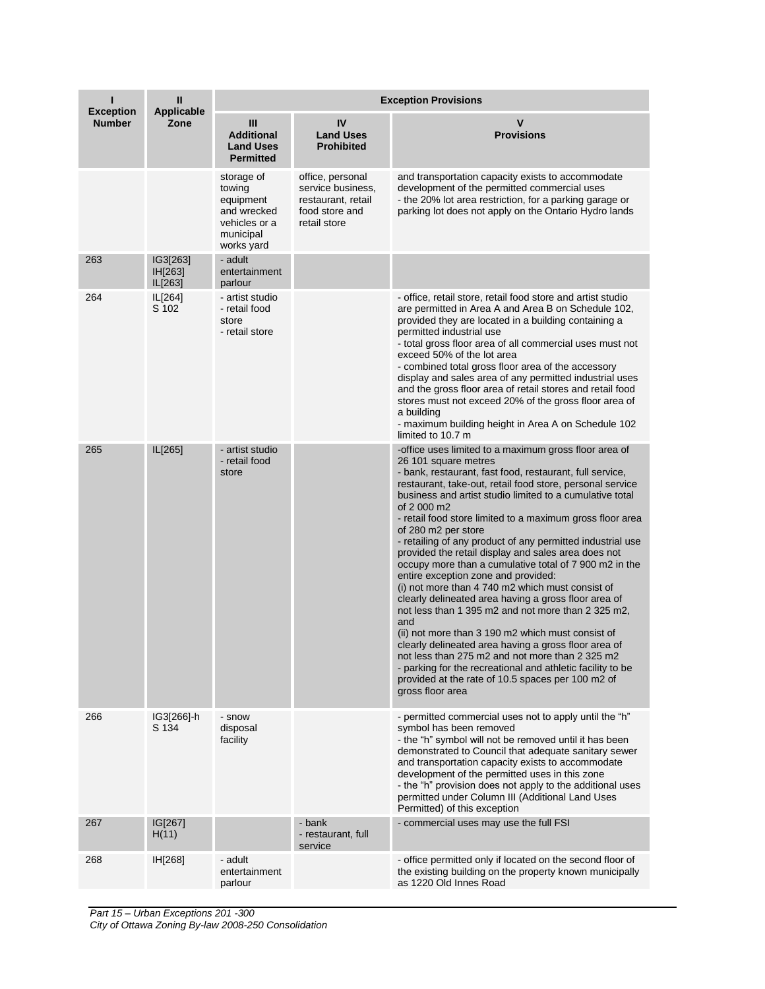|                                   | $\mathbf{I}$<br><b>Applicable</b><br>Zone | <b>Exception Provisions</b>                                                                  |                                                                                               |                                                                                                                                                                                                                                                                                                                                                                                                                                                                                                                                                                                                                                                                                                                                                                                                                                                                                                                                                                                                                                                                             |  |
|-----------------------------------|-------------------------------------------|----------------------------------------------------------------------------------------------|-----------------------------------------------------------------------------------------------|-----------------------------------------------------------------------------------------------------------------------------------------------------------------------------------------------------------------------------------------------------------------------------------------------------------------------------------------------------------------------------------------------------------------------------------------------------------------------------------------------------------------------------------------------------------------------------------------------------------------------------------------------------------------------------------------------------------------------------------------------------------------------------------------------------------------------------------------------------------------------------------------------------------------------------------------------------------------------------------------------------------------------------------------------------------------------------|--|
| <b>Exception</b><br><b>Number</b> |                                           | Ш<br><b>Additional</b><br><b>Land Uses</b><br><b>Permitted</b>                               | IV<br><b>Land Uses</b><br><b>Prohibited</b>                                                   | V<br><b>Provisions</b>                                                                                                                                                                                                                                                                                                                                                                                                                                                                                                                                                                                                                                                                                                                                                                                                                                                                                                                                                                                                                                                      |  |
|                                   |                                           | storage of<br>towing<br>equipment<br>and wrecked<br>vehicles or a<br>municipal<br>works yard | office, personal<br>service business,<br>restaurant, retail<br>food store and<br>retail store | and transportation capacity exists to accommodate<br>development of the permitted commercial uses<br>- the 20% lot area restriction, for a parking garage or<br>parking lot does not apply on the Ontario Hydro lands                                                                                                                                                                                                                                                                                                                                                                                                                                                                                                                                                                                                                                                                                                                                                                                                                                                       |  |
| 263                               | IG3[263]<br>IH[263]<br>IL[263]            | - adult<br>entertainment<br>parlour                                                          |                                                                                               |                                                                                                                                                                                                                                                                                                                                                                                                                                                                                                                                                                                                                                                                                                                                                                                                                                                                                                                                                                                                                                                                             |  |
| 264                               | IL[264]<br>S 102                          | - artist studio<br>- retail food<br>store<br>- retail store                                  |                                                                                               | - office, retail store, retail food store and artist studio<br>are permitted in Area A and Area B on Schedule 102,<br>provided they are located in a building containing a<br>permitted industrial use<br>- total gross floor area of all commercial uses must not<br>exceed 50% of the lot area<br>- combined total gross floor area of the accessory<br>display and sales area of any permitted industrial uses<br>and the gross floor area of retail stores and retail food<br>stores must not exceed 20% of the gross floor area of<br>a building<br>- maximum building height in Area A on Schedule 102<br>limited to 10.7 m                                                                                                                                                                                                                                                                                                                                                                                                                                           |  |
| 265                               | IL[265]                                   | - artist studio<br>- retail food<br>store                                                    |                                                                                               | -office uses limited to a maximum gross floor area of<br>26 101 square metres<br>- bank, restaurant, fast food, restaurant, full service,<br>restaurant, take-out, retail food store, personal service<br>business and artist studio limited to a cumulative total<br>of 2 000 m2<br>- retail food store limited to a maximum gross floor area<br>of 280 m2 per store<br>- retailing of any product of any permitted industrial use<br>provided the retail display and sales area does not<br>occupy more than a cumulative total of 7 900 m2 in the<br>entire exception zone and provided:<br>(i) not more than 4 740 m2 which must consist of<br>clearly delineated area having a gross floor area of<br>not less than 1 395 m2 and not more than 2 325 m2,<br>and<br>(ii) not more than 3 190 m2 which must consist of<br>clearly delineated area having a gross floor area of<br>not less than 275 m2 and not more than 2 325 m2<br>- parking for the recreational and athletic facility to be<br>provided at the rate of 10.5 spaces per 100 m2 of<br>gross floor area |  |
| 266                               | IG3[266]-h<br>S 134                       | - snow<br>disposal<br>facility                                                               |                                                                                               | - permitted commercial uses not to apply until the "h"<br>symbol has been removed<br>- the "h" symbol will not be removed until it has been<br>demonstrated to Council that adequate sanitary sewer<br>and transportation capacity exists to accommodate<br>development of the permitted uses in this zone<br>- the "h" provision does not apply to the additional uses<br>permitted under Column III (Additional Land Uses<br>Permitted) of this exception                                                                                                                                                                                                                                                                                                                                                                                                                                                                                                                                                                                                                 |  |
| 267                               | IG[267]<br>H(11)                          |                                                                                              | - bank<br>- restaurant, full<br>service                                                       | - commercial uses may use the full FSI                                                                                                                                                                                                                                                                                                                                                                                                                                                                                                                                                                                                                                                                                                                                                                                                                                                                                                                                                                                                                                      |  |
| 268                               | IH[268]                                   | - adult<br>entertainment<br>parlour                                                          |                                                                                               | - office permitted only if located on the second floor of<br>the existing building on the property known municipally<br>as 1220 Old Innes Road                                                                                                                                                                                                                                                                                                                                                                                                                                                                                                                                                                                                                                                                                                                                                                                                                                                                                                                              |  |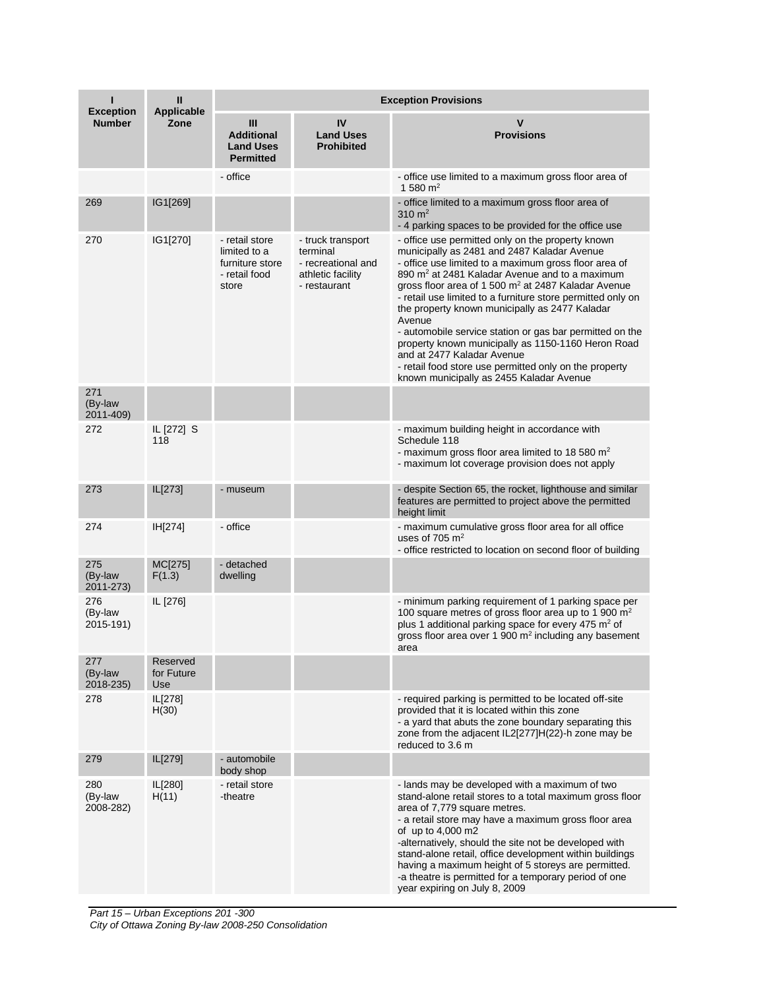| <b>Exception</b>            | Ш<br><b>Applicable</b><br>Zone | <b>Exception Provisions</b>                                                 |                                                                                          |                                                                                                                                                                                                                                                                                                                                                                                                                                                                                                                                                                                                                                                                             |  |
|-----------------------------|--------------------------------|-----------------------------------------------------------------------------|------------------------------------------------------------------------------------------|-----------------------------------------------------------------------------------------------------------------------------------------------------------------------------------------------------------------------------------------------------------------------------------------------------------------------------------------------------------------------------------------------------------------------------------------------------------------------------------------------------------------------------------------------------------------------------------------------------------------------------------------------------------------------------|--|
| <b>Number</b>               |                                | Ш<br><b>Additional</b><br><b>Land Uses</b><br><b>Permitted</b>              | IV<br><b>Land Uses</b><br><b>Prohibited</b>                                              | $\mathbf v$<br><b>Provisions</b>                                                                                                                                                                                                                                                                                                                                                                                                                                                                                                                                                                                                                                            |  |
|                             |                                | - office                                                                    |                                                                                          | - office use limited to a maximum gross floor area of<br>1 580 $m2$                                                                                                                                                                                                                                                                                                                                                                                                                                                                                                                                                                                                         |  |
| 269                         | IG1[269]                       |                                                                             |                                                                                          | - office limited to a maximum gross floor area of<br>310 $m2$<br>- 4 parking spaces to be provided for the office use                                                                                                                                                                                                                                                                                                                                                                                                                                                                                                                                                       |  |
| 270                         | IG1[270]                       | - retail store<br>limited to a<br>furniture store<br>- retail food<br>store | - truck transport<br>terminal<br>- recreational and<br>athletic facility<br>- restaurant | - office use permitted only on the property known<br>municipally as 2481 and 2487 Kaladar Avenue<br>- office use limited to a maximum gross floor area of<br>890 m <sup>2</sup> at 2481 Kaladar Avenue and to a maximum<br>gross floor area of 1 500 m <sup>2</sup> at 2487 Kaladar Avenue<br>- retail use limited to a furniture store permitted only on<br>the property known municipally as 2477 Kaladar<br>Avenue<br>- automobile service station or gas bar permitted on the<br>property known municipally as 1150-1160 Heron Road<br>and at 2477 Kaladar Avenue<br>- retail food store use permitted only on the property<br>known municipally as 2455 Kaladar Avenue |  |
| 271<br>(By-law<br>2011-409) |                                |                                                                             |                                                                                          |                                                                                                                                                                                                                                                                                                                                                                                                                                                                                                                                                                                                                                                                             |  |
| 272                         | IL [272] S<br>118              |                                                                             |                                                                                          | - maximum building height in accordance with<br>Schedule 118<br>- maximum gross floor area limited to 18 580 $m2$<br>- maximum lot coverage provision does not apply                                                                                                                                                                                                                                                                                                                                                                                                                                                                                                        |  |
| 273                         | IL[273]                        | - museum                                                                    |                                                                                          | - despite Section 65, the rocket, lighthouse and similar<br>features are permitted to project above the permitted<br>height limit                                                                                                                                                                                                                                                                                                                                                                                                                                                                                                                                           |  |
| 274                         | IH[274]                        | - office                                                                    |                                                                                          | - maximum cumulative gross floor area for all office<br>uses of $705 \text{ m}^2$<br>- office restricted to location on second floor of building                                                                                                                                                                                                                                                                                                                                                                                                                                                                                                                            |  |
| 275<br>(By-law<br>2011-273) | MC[275]<br>F(1.3)              | - detached<br>dwelling                                                      |                                                                                          |                                                                                                                                                                                                                                                                                                                                                                                                                                                                                                                                                                                                                                                                             |  |
| 276<br>(By-law<br>2015-191) | IL [276]                       |                                                                             |                                                                                          | - minimum parking requirement of 1 parking space per<br>100 square metres of gross floor area up to 1 900 m <sup>2</sup><br>plus 1 additional parking space for every 475 m <sup>2</sup> of<br>gross floor area over 1 900 $m2$ including any basement<br>area                                                                                                                                                                                                                                                                                                                                                                                                              |  |
| 277<br>(By-law<br>2018-235) | Reserved<br>for Future<br>Use  |                                                                             |                                                                                          |                                                                                                                                                                                                                                                                                                                                                                                                                                                                                                                                                                                                                                                                             |  |
| 278                         | IL[278]<br>H(30)               |                                                                             |                                                                                          | - required parking is permitted to be located off-site<br>provided that it is located within this zone<br>- a yard that abuts the zone boundary separating this<br>zone from the adjacent IL2[277]H(22)-h zone may be<br>reduced to 3.6 m                                                                                                                                                                                                                                                                                                                                                                                                                                   |  |
| 279                         | IL[279]                        | - automobile<br>body shop                                                   |                                                                                          |                                                                                                                                                                                                                                                                                                                                                                                                                                                                                                                                                                                                                                                                             |  |
| 280<br>(By-law<br>2008-282) | IL[280]<br>H(11)               | - retail store<br>-theatre                                                  |                                                                                          | - lands may be developed with a maximum of two<br>stand-alone retail stores to a total maximum gross floor<br>area of 7,779 square metres.<br>- a retail store may have a maximum gross floor area<br>of up to 4,000 m2<br>-alternatively, should the site not be developed with<br>stand-alone retail, office development within buildings<br>having a maximum height of 5 storeys are permitted.<br>-a theatre is permitted for a temporary period of one<br>year expiring on July 8, 2009                                                                                                                                                                                |  |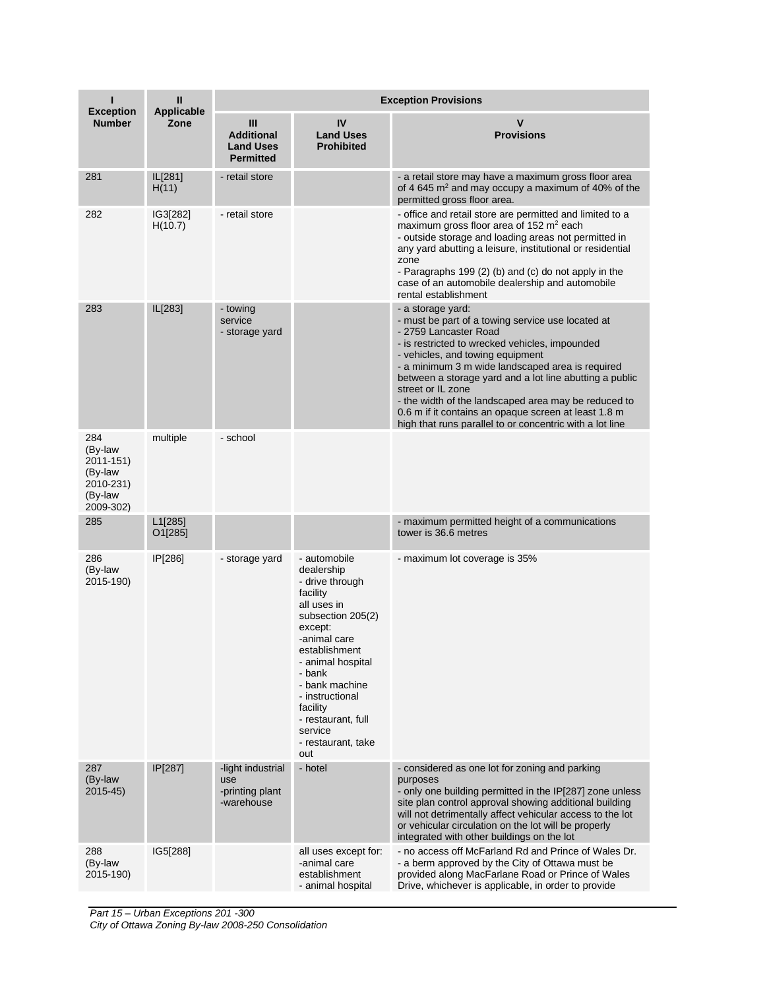| <b>Exception</b>                                                            | $\mathbf{I}$<br><b>Applicable</b><br>Zone | <b>Exception Provisions</b>                                    |                                                                                                                                                                                                                                                                                         |                                                                                                                                                                                                                                                                                                                                                                                                                                                                                                       |  |
|-----------------------------------------------------------------------------|-------------------------------------------|----------------------------------------------------------------|-----------------------------------------------------------------------------------------------------------------------------------------------------------------------------------------------------------------------------------------------------------------------------------------|-------------------------------------------------------------------------------------------------------------------------------------------------------------------------------------------------------------------------------------------------------------------------------------------------------------------------------------------------------------------------------------------------------------------------------------------------------------------------------------------------------|--|
| <b>Number</b>                                                               |                                           | Ш<br><b>Additional</b><br><b>Land Uses</b><br><b>Permitted</b> | IV<br><b>Land Uses</b><br><b>Prohibited</b>                                                                                                                                                                                                                                             | v<br><b>Provisions</b>                                                                                                                                                                                                                                                                                                                                                                                                                                                                                |  |
| 281                                                                         | IL[281]<br>H(11)                          | - retail store                                                 |                                                                                                                                                                                                                                                                                         | - a retail store may have a maximum gross floor area<br>of 4 645 m <sup>2</sup> and may occupy a maximum of 40% of the<br>permitted gross floor area.                                                                                                                                                                                                                                                                                                                                                 |  |
| 282                                                                         | IG3[282]<br>H(10.7)                       | - retail store                                                 |                                                                                                                                                                                                                                                                                         | - office and retail store are permitted and limited to a<br>maximum gross floor area of 152 m <sup>2</sup> each<br>- outside storage and loading areas not permitted in<br>any yard abutting a leisure, institutional or residential<br>zone<br>- Paragraphs 199 (2) (b) and (c) do not apply in the<br>case of an automobile dealership and automobile<br>rental establishment                                                                                                                       |  |
| 283                                                                         | IL[283]                                   | - towing<br>service<br>- storage yard                          |                                                                                                                                                                                                                                                                                         | - a storage yard:<br>- must be part of a towing service use located at<br>- 2759 Lancaster Road<br>- is restricted to wrecked vehicles, impounded<br>- vehicles, and towing equipment<br>- a minimum 3 m wide landscaped area is required<br>between a storage yard and a lot line abutting a public<br>street or IL zone<br>- the width of the landscaped area may be reduced to<br>0.6 m if it contains an opaque screen at least 1.8 m<br>high that runs parallel to or concentric with a lot line |  |
| 284<br>(By-law<br>2011-151)<br>(By-law<br>2010-231)<br>(By-law<br>2009-302) | multiple                                  | - school                                                       |                                                                                                                                                                                                                                                                                         |                                                                                                                                                                                                                                                                                                                                                                                                                                                                                                       |  |
| 285                                                                         | L1[285]<br>O1[285]                        |                                                                |                                                                                                                                                                                                                                                                                         | - maximum permitted height of a communications<br>tower is 36.6 metres                                                                                                                                                                                                                                                                                                                                                                                                                                |  |
| 286<br>(By-law<br>2015-190)                                                 | IP[286]                                   | - storage yard                                                 | - automobile<br>dealership<br>- drive through<br>facility<br>all uses in<br>subsection 205(2)<br>except:<br>-animal care<br>establishment<br>- animal hospital<br>- bank<br>- bank machine<br>- instructional<br>facility<br>- restaurant, full<br>service<br>- restaurant, take<br>out | - maximum lot coverage is 35%                                                                                                                                                                                                                                                                                                                                                                                                                                                                         |  |
| 287<br>(By-law<br>$2015 - 45$                                               | IP[287]                                   | -light industrial<br>use<br>-printing plant<br>-warehouse      | - hotel                                                                                                                                                                                                                                                                                 | - considered as one lot for zoning and parking<br>purposes<br>- only one building permitted in the IP[287] zone unless<br>site plan control approval showing additional building<br>will not detrimentally affect vehicular access to the lot<br>or vehicular circulation on the lot will be properly<br>integrated with other buildings on the lot                                                                                                                                                   |  |
| 288<br>(By-law<br>2015-190)                                                 | IG5[288]                                  |                                                                | all uses except for:<br>-animal care<br>establishment<br>- animal hospital                                                                                                                                                                                                              | - no access off McFarland Rd and Prince of Wales Dr.<br>- a berm approved by the City of Ottawa must be<br>provided along MacFarlane Road or Prince of Wales<br>Drive, whichever is applicable, in order to provide                                                                                                                                                                                                                                                                                   |  |

*Part 15 – Urban Exceptions 201 -300 City of Ottawa Zoning By-law 2008-250 Consolidation*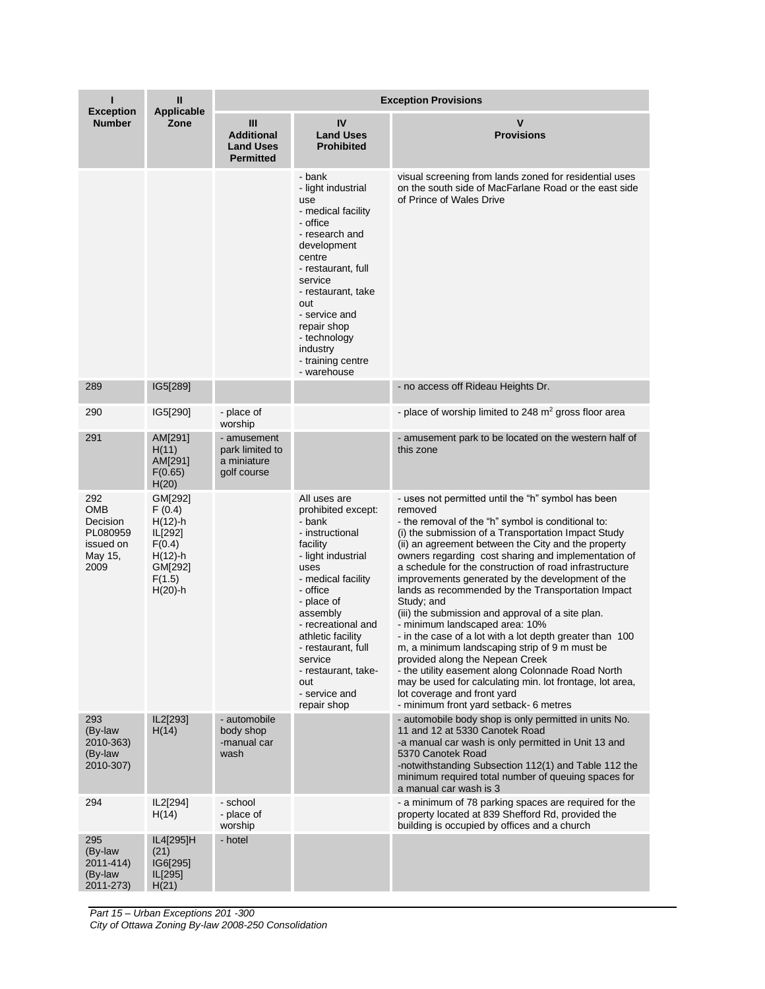| ı                                                                  | Ш<br><b>Applicable</b><br>Zone                                                                         | <b>Exception Provisions</b>                                    |                                                                                                                                                                                                                                                                                                                 |                                                                                                                                                                                                                                                                                                                                                                                                                                                                                                                                                                                                                                                                                                                                                                                                                                                                                                            |  |
|--------------------------------------------------------------------|--------------------------------------------------------------------------------------------------------|----------------------------------------------------------------|-----------------------------------------------------------------------------------------------------------------------------------------------------------------------------------------------------------------------------------------------------------------------------------------------------------------|------------------------------------------------------------------------------------------------------------------------------------------------------------------------------------------------------------------------------------------------------------------------------------------------------------------------------------------------------------------------------------------------------------------------------------------------------------------------------------------------------------------------------------------------------------------------------------------------------------------------------------------------------------------------------------------------------------------------------------------------------------------------------------------------------------------------------------------------------------------------------------------------------------|--|
| <b>Exception</b><br><b>Number</b>                                  |                                                                                                        | Ш<br><b>Additional</b><br><b>Land Uses</b><br><b>Permitted</b> | IV<br><b>Land Uses</b><br><b>Prohibited</b>                                                                                                                                                                                                                                                                     | v<br><b>Provisions</b>                                                                                                                                                                                                                                                                                                                                                                                                                                                                                                                                                                                                                                                                                                                                                                                                                                                                                     |  |
|                                                                    |                                                                                                        |                                                                | - bank<br>- light industrial<br>use<br>- medical facility<br>- office<br>- research and<br>development<br>centre<br>- restaurant, full<br>service<br>- restaurant, take<br>out<br>- service and<br>repair shop<br>- technology<br>industry<br>- training centre<br>- warehouse                                  | visual screening from lands zoned for residential uses<br>on the south side of MacFarlane Road or the east side<br>of Prince of Wales Drive                                                                                                                                                                                                                                                                                                                                                                                                                                                                                                                                                                                                                                                                                                                                                                |  |
| 289                                                                | IG5[289]                                                                                               |                                                                |                                                                                                                                                                                                                                                                                                                 | - no access off Rideau Heights Dr.                                                                                                                                                                                                                                                                                                                                                                                                                                                                                                                                                                                                                                                                                                                                                                                                                                                                         |  |
| 290                                                                | IG5[290]                                                                                               | - place of<br>worship                                          |                                                                                                                                                                                                                                                                                                                 | - place of worship limited to 248 $m2$ gross floor area                                                                                                                                                                                                                                                                                                                                                                                                                                                                                                                                                                                                                                                                                                                                                                                                                                                    |  |
| 291                                                                | AM[291]<br>H(11)<br>AM[291]<br>F(0.65)<br>H(20)                                                        | - amusement<br>park limited to<br>a miniature<br>golf course   |                                                                                                                                                                                                                                                                                                                 | - amusement park to be located on the western half of<br>this zone                                                                                                                                                                                                                                                                                                                                                                                                                                                                                                                                                                                                                                                                                                                                                                                                                                         |  |
| 292<br>OMB<br>Decision<br>PL080959<br>issued on<br>May 15,<br>2009 | GM[292]<br>F(0.4)<br>$H(12)$ -h<br>IL[292]<br>F(0.4)<br>$H(12) - h$<br>GM[292]<br>F(1.5)<br>$H(20)$ -h |                                                                | All uses are<br>prohibited except:<br>- bank<br>- instructional<br>facility<br>- light industrial<br>uses<br>- medical facility<br>- office<br>- place of<br>assembly<br>- recreational and<br>athletic facility<br>- restaurant, full<br>service<br>- restaurant, take-<br>out<br>- service and<br>repair shop | - uses not permitted until the "h" symbol has been<br>removed<br>- the removal of the "h" symbol is conditional to:<br>(i) the submission of a Transportation Impact Study<br>(ii) an agreement between the City and the property<br>owners regarding cost sharing and implementation of<br>a schedule for the construction of road infrastructure<br>improvements generated by the development of the<br>lands as recommended by the Transportation Impact<br>Study; and<br>(iii) the submission and approval of a site plan.<br>- minimum landscaped area: 10%<br>- in the case of a lot with a lot depth greater than 100<br>m, a minimum landscaping strip of 9 m must be<br>provided along the Nepean Creek<br>- the utility easement along Colonnade Road North<br>may be used for calculating min. lot frontage, lot area,<br>lot coverage and front yard<br>- minimum front yard setback- 6 metres |  |
| 293<br>(By-law<br>2010-363)<br>(By-law<br>2010-307)                | IL2[293]<br>H(14)                                                                                      | - automobile<br>body shop<br>-manual car<br>wash               |                                                                                                                                                                                                                                                                                                                 | - automobile body shop is only permitted in units No.<br>11 and 12 at 5330 Canotek Road<br>-a manual car wash is only permitted in Unit 13 and<br>5370 Canotek Road<br>-notwithstanding Subsection 112(1) and Table 112 the<br>minimum required total number of queuing spaces for<br>a manual car wash is 3                                                                                                                                                                                                                                                                                                                                                                                                                                                                                                                                                                                               |  |
| 294                                                                | IL2[294]<br>H(14)                                                                                      | - school<br>- place of<br>worship                              |                                                                                                                                                                                                                                                                                                                 | - a minimum of 78 parking spaces are required for the<br>property located at 839 Shefford Rd, provided the<br>building is occupied by offices and a church                                                                                                                                                                                                                                                                                                                                                                                                                                                                                                                                                                                                                                                                                                                                                 |  |
| 295<br>(By-law<br>2011-414)<br>(By-law<br>2011-273)                | IL4[295]H<br>(21)<br>IG6[295]<br>IL[295]<br>H(21)                                                      | - hotel                                                        |                                                                                                                                                                                                                                                                                                                 |                                                                                                                                                                                                                                                                                                                                                                                                                                                                                                                                                                                                                                                                                                                                                                                                                                                                                                            |  |

*Part 15 – Urban Exceptions 201 -300 City of Ottawa Zoning By-law 2008-250 Consolidation*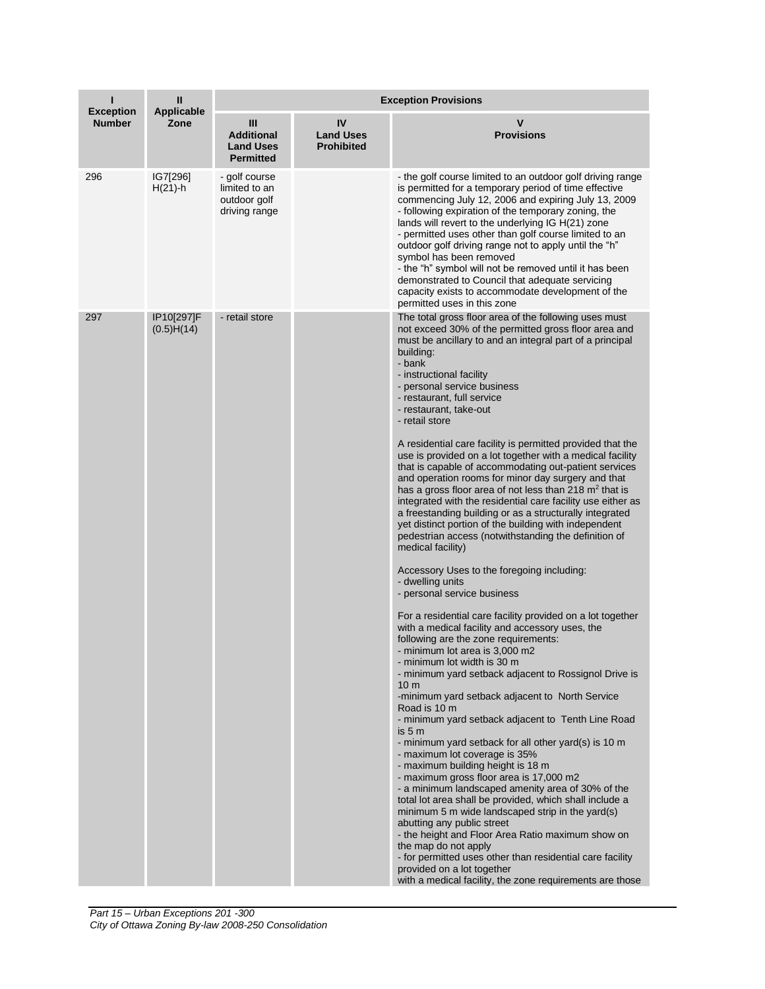| п                                 | Ш<br><b>Applicable</b><br>Zone | <b>Exception Provisions</b>                                     |                                             |                                                                                                                                                                                                                                                                                                                                                                                                                                                                                                                                                                                                                                                                                                                                                                                                                                                                                                                                                                                                                                                                                                                                                                                                                                                                                                                                                                                                                                                                                                                                                                                                                                                                                                                                                                                                                                                                                                                                                                                                                                                                      |  |
|-----------------------------------|--------------------------------|-----------------------------------------------------------------|---------------------------------------------|----------------------------------------------------------------------------------------------------------------------------------------------------------------------------------------------------------------------------------------------------------------------------------------------------------------------------------------------------------------------------------------------------------------------------------------------------------------------------------------------------------------------------------------------------------------------------------------------------------------------------------------------------------------------------------------------------------------------------------------------------------------------------------------------------------------------------------------------------------------------------------------------------------------------------------------------------------------------------------------------------------------------------------------------------------------------------------------------------------------------------------------------------------------------------------------------------------------------------------------------------------------------------------------------------------------------------------------------------------------------------------------------------------------------------------------------------------------------------------------------------------------------------------------------------------------------------------------------------------------------------------------------------------------------------------------------------------------------------------------------------------------------------------------------------------------------------------------------------------------------------------------------------------------------------------------------------------------------------------------------------------------------------------------------------------------------|--|
| <b>Exception</b><br><b>Number</b> |                                | Ш<br><b>Additional</b><br><b>Land Uses</b><br><b>Permitted</b>  | IV<br><b>Land Uses</b><br><b>Prohibited</b> | v<br><b>Provisions</b>                                                                                                                                                                                                                                                                                                                                                                                                                                                                                                                                                                                                                                                                                                                                                                                                                                                                                                                                                                                                                                                                                                                                                                                                                                                                                                                                                                                                                                                                                                                                                                                                                                                                                                                                                                                                                                                                                                                                                                                                                                               |  |
| 296                               | IG7[296]<br>$H(21) - h$        | - golf course<br>limited to an<br>outdoor golf<br>driving range |                                             | - the golf course limited to an outdoor golf driving range<br>is permitted for a temporary period of time effective<br>commencing July 12, 2006 and expiring July 13, 2009<br>- following expiration of the temporary zoning, the<br>lands will revert to the underlying IG H(21) zone<br>- permitted uses other than golf course limited to an<br>outdoor golf driving range not to apply until the "h"<br>symbol has been removed<br>- the "h" symbol will not be removed until it has been<br>demonstrated to Council that adequate servicing<br>capacity exists to accommodate development of the<br>permitted uses in this zone                                                                                                                                                                                                                                                                                                                                                                                                                                                                                                                                                                                                                                                                                                                                                                                                                                                                                                                                                                                                                                                                                                                                                                                                                                                                                                                                                                                                                                 |  |
| 297                               | IP10[297]F<br>(0.5)H(14)       | - retail store                                                  |                                             | The total gross floor area of the following uses must<br>not exceed 30% of the permitted gross floor area and<br>must be ancillary to and an integral part of a principal<br>building:<br>- bank<br>- instructional facility<br>- personal service business<br>- restaurant, full service<br>- restaurant, take-out<br>- retail store<br>A residential care facility is permitted provided that the<br>use is provided on a lot together with a medical facility<br>that is capable of accommodating out-patient services<br>and operation rooms for minor day surgery and that<br>has a gross floor area of not less than 218 $m2$ that is<br>integrated with the residential care facility use either as<br>a freestanding building or as a structurally integrated<br>yet distinct portion of the building with independent<br>pedestrian access (notwithstanding the definition of<br>medical facility)<br>Accessory Uses to the foregoing including:<br>- dwelling units<br>- personal service business<br>For a residential care facility provided on a lot together<br>with a medical facility and accessory uses, the<br>following are the zone requirements:<br>- minimum lot area is 3,000 m2<br>- minimum lot width is 30 m<br>- minimum yard setback adjacent to Rossignol Drive is<br>10 <sub>m</sub><br>-minimum yard setback adjacent to North Service<br>Road is 10 m<br>- minimum yard setback adjacent to Tenth Line Road<br>is 5 m<br>- minimum yard setback for all other yard(s) is 10 m<br>- maximum lot coverage is 35%<br>- maximum building height is 18 m<br>- maximum gross floor area is 17,000 m2<br>- a minimum landscaped amenity area of 30% of the<br>total lot area shall be provided, which shall include a<br>minimum 5 m wide landscaped strip in the yard(s)<br>abutting any public street<br>- the height and Floor Area Ratio maximum show on<br>the map do not apply<br>- for permitted uses other than residential care facility<br>provided on a lot together<br>with a medical facility, the zone requirements are those |  |